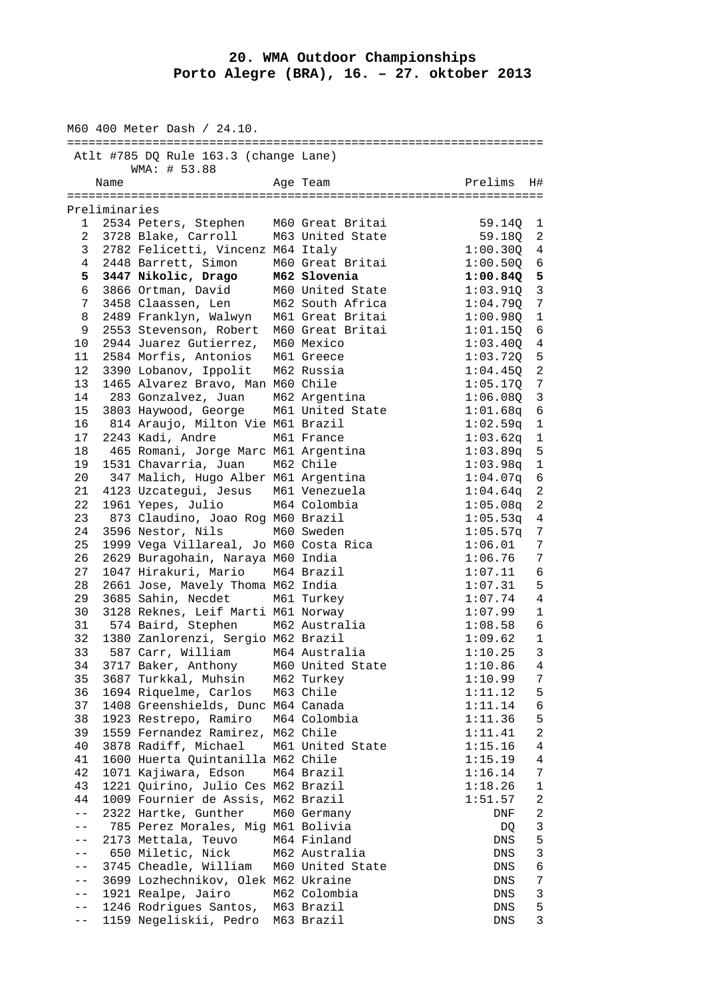## **20. WMA Outdoor Championships Porto Alegre (BRA), 16. – 27. oktober 2013**

|                   |               | M60 400 Meter Dash / 24.10.<br>=========================== |                  |                      |                         |
|-------------------|---------------|------------------------------------------------------------|------------------|----------------------|-------------------------|
|                   |               | Atlt #785 DQ Rule 163.3 (change Lane)<br>WMA: # 53.88      |                  |                      |                         |
|                   | Name          |                                                            | Age Team         | Prelims              | H#                      |
|                   | Preliminaries |                                                            |                  |                      |                         |
| 1                 |               | 2534 Peters, Stephen                                       | M60 Great Britai | 59.140               | 1                       |
| $\mathbf{2}$      |               | 3728 Blake, Carroll                                        | M63 United State | 59.18Q               | 2                       |
| 3                 |               | 2782 Felicetti, Vincenz M64 Italy                          |                  | 1:00.30Q             | 4                       |
| 4                 |               | 2448 Barrett, Simon                                        | M60 Great Britai | 1:00.500             | 6                       |
| 5                 |               | 3447 Nikolic, Drago                                        | M62 Slovenia     | 1:00.84Q             | 5                       |
| 6                 |               | 3866 Ortman, David                                         | M60 United State | 1:03.910             | $\overline{3}$          |
| 7                 |               | 3458 Claassen, Len                                         | M62 South Africa | 1:04.79Q             | 7                       |
| 8                 |               | 2489 Franklyn, Walwyn                                      | M61 Great Britai | 1:00.98Q             | $\mathbf{1}$            |
| 9                 |               | 2553 Stevenson, Robert                                     | M60 Great Britai | 1:01.15Q             | 6                       |
| 10                |               | 2944 Juarez Gutierrez,                                     | M60 Mexico       | $1:03.40Q$ 4         |                         |
| 11                |               | 2584 Morfis, Antonios                                      | M61 Greece       | $1:03.72Q$ 5         |                         |
| 12                |               | 3390 Lobanov, Ippolit                                      | M62 Russia       | 1:04.450             | 2                       |
| 13                |               |                                                            |                  | 1:05.17Q             | 7                       |
| 14                |               | 1465 Alvarez Bravo, Man M60 Chile                          | M62 Argentina    |                      | 3                       |
| 15                |               | 283 Gonzalvez, Juan<br>3803 Haywood, George                | M61 United State | 1:06.08Q<br>1:01.68q | 6                       |
| 16                |               | 814 Araujo, Milton Vie M61 Brazil                          |                  | 1:02.59q             | $\mathbf{1}$            |
| 17                |               | 2243 Kadi, Andre                                           | M61 France       | $1:03.62q$ 1         |                         |
| 18                |               | 465 Romani, Jorge Marc M61 Argentina                       |                  |                      | 5                       |
| 19                |               | 1531 Chavarria, Juan                                       | M62 Chile        | 1:03.89q<br>1:03.98q | $\mathbf{1}$            |
| 20                |               | 347 Malich, Hugo Alber M61 Argentina                       |                  | 1:04.07q             | 6                       |
| 21                |               | 4123 Uzcategui, Jesus M61 Venezuela                        |                  | 1:04.64q             | 2                       |
| 22                |               | 1961 Yepes, Julio                                          | M64 Colombia     | 1:05.08q             | 2                       |
| 23                |               | 873 Claudino, Joao Rog M60 Brazil                          |                  | 1:05.53q             | 4                       |
| 24                |               | 3596 Nestor, Nils                                          | M60 Sweden       | 1:05.57q             | 7                       |
| 25                |               | 1999 Vega Villareal, Jo M60 Costa Rica                     |                  | 1:06.01              | 7                       |
| 26                |               | 2629 Buragohain, Naraya M60 India                          |                  | 1:06.76              | 7                       |
| 27                |               | 1047 Hirakuri, Mario                                       | M64 Brazil       | 1:07.11              | 6                       |
| 28                |               | 2661 Jose, Mavely Thoma M62 India                          |                  | 1:07.31              | 5                       |
| 29                |               | 3685 Sahin, Necdet                                         | M61 Turkey       | 1:07.74              | 4                       |
| 30                |               | 3128 Reknes, Leif Marti M61 Norway                         |                  | 1:07.99              | $\mathbf{1}$            |
| 31                |               | 574 Baird, Stephen M62 Australia                           |                  | 1:08.58              | 6                       |
| 32                |               | 1380 Zanlorenzi, Sergio M62 Brazil                         |                  | 1:09.62              | 1                       |
|                   |               | 33 587 Carr, William M64 Australia                         |                  | 1:10.25              | $\overline{\mathbf{3}}$ |
| 34                |               | 3717 Baker, Anthony                                        | M60 United State | 1:10.86              | 4                       |
| 35                |               | 3687 Turkkal, Muhsin M62 Turkey                            |                  | 1:10.99              | 7                       |
| 36                |               | 1694 Riquelme, Carlos M63 Chile                            |                  | 1:11.12              | 5                       |
| 37                |               | 1408 Greenshields, Dunc M64 Canada                         |                  | 1:11.14              | 6                       |
| 38                |               | 1923 Restrepo, Ramiro                                      | M64 Colombia     | 1:11.36              | 5                       |
| 39                |               | 1559 Fernandez Ramirez, M62 Chile                          |                  | 1:11.41              | $\overline{a}$          |
| 40                |               | 3878 Radiff, Michael                                       | M61 United State | 1:15.16              | 4                       |
| 41                |               | 1600 Huerta Quintanilla M62 Chile                          |                  | 1:15.19              | 4                       |
| 42                |               | 1071 Kajiwara, Edson                                       | M64 Brazil       | 1:16.14              | 7                       |
| 43                |               | 1221 Quirino, Julio Ces M62 Brazil                         |                  | 1:18.26              | $\mathbf{1}$            |
| 44                |               | 1009 Fournier de Assis, M62 Brazil                         |                  | 1:51.57              | 2                       |
| $ -$              |               | 2322 Hartke, Gunther                                       | M60 Germany      | DNF                  | 2                       |
| $\qquad \qquad -$ |               | 785 Perez Morales, Mig M61 Bolivia                         |                  | DQ                   | $\mathbf{3}$            |
| $ -$              |               | 2173 Mettala, Teuvo                                        | M64 Finland      | DNS                  | 5                       |
| $- -$             |               | 650 Miletic, Nick                                          | M62 Australia    | DNS                  | $\mathbf{3}$            |
| $- -$             |               | 3745 Cheadle, William M60 United State                     |                  | DNS                  | $\epsilon$              |
| $\qquad \qquad -$ |               | 3699 Lozhechnikov, Olek M62 Ukraine                        |                  | DNS                  | 7                       |
| $- -$             |               | 1921 Realpe, Jairo                                         | M62 Colombia     | DNS                  | $\mathfrak{Z}$          |
| $ -$              |               | 1246 Rodrigues Santos, M63 Brazil                          |                  | DNS                  | 5                       |
| $ -$              |               | 1159 Negeliskii, Pedro M63 Brazil                          |                  | DNS                  | 3                       |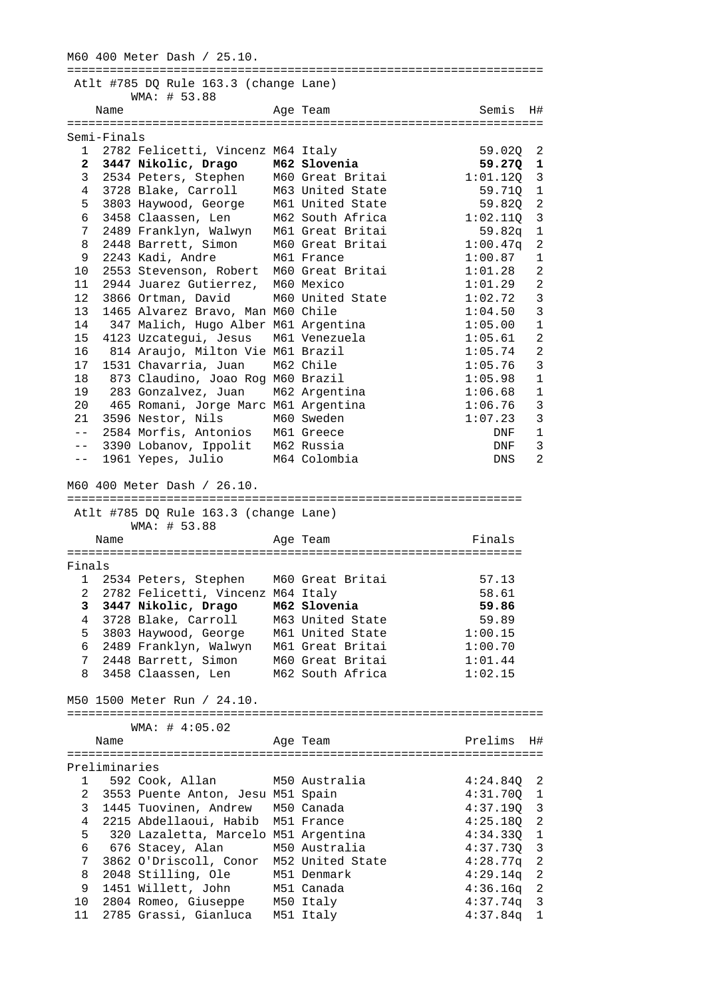M60 400 Meter Dash / 25.10. =================================================================== Atlt #785 DQ Rule 163.3 (change Lane) WMA: # 53.88 Name **Age Team** Semis H# =================================================================== Semi-Finals 1 2782 Felicetti, Vincenz M64 Italy 59.020 2<br>2 3447 Nikolic, Drago M62 Slovenia 59.270 1  **2 3447 Nikolic, Drago M62 Slovenia 59.27Q 1**  3 2534 Peters, Stephen M60 Great Britai 1:01.12Q 3 4 3728 Blake, Carroll M63 United State 59.71Q 1 5 3803 Haywood, George M61 United State 59.82Q 2 6 3458 Claassen, Len M62 South Africa 1:02.11Q 3 7 2489 Franklyn, Walwyn M61 Great Britai 59.82q 1 8 2448 Barrett, Simon M60 Great Britai 1:00.47q 2 9 2243 Kadi, Andre M61 France 1:00.87 1 9 2243 Kadi, Andre M61 France 1.00.07 1<br>10 2553 Stevenson, Robert M60 Great Britai 1:01.28 2<br>11 2944 Juarez Gutierrez, M60 Mexico 1:01.29 2<br>12 3866 Ortman, David M60 United State 1:02.72 3<br>1:04 50 3 11 2944 Juarez Gutierrez, M60 Mexico 1:01.29 2 12 3866 Ortman, David M60 United State 1:02.72 3 13 1465 Alvarez Bravo, Man M60 Chile 1:04.50 3 14 347 Malich, Hugo Alber M61 Argentina 1:05.00 1 15 4123 Uzcategui, Jesus M61 Venezuela 1:05.61 2 16 814 Araujo, Milton Vie M61 Brazil 1:05.74 2 17 1531 Chavarria, Juan M62 Chile 1:05.76 3 18 873 Claudino, Joao Rog M60 Brazil 1:05.98 1 19 283 Gonzalvez, Juan M62 Argentina 1:06.68 1 20 465 Romani, Jorge Marc M61 Argentina 1:06.76 3 21 3596 Nestor, Nils M60 Sweden 1:07.23 3 -- 2584 Morfis, Antonios M61 Greece DNF 1 20 Four Romann, ourge mark med in a sensoring and the served of the served of the served of the served of the served of the served of the served of the served of the served of the served of the served of the served of the -- 1961 Yepes, Julio M64 Colombia Constantino DNS 2 M60 400 Meter Dash / 26.10. ================================================================ Atlt #785 DQ Rule 163.3 (change Lane) WMA: # 53.88 Name **Age Team Age Team** Finals ================================================================ Finals 1 2534 Peters, Stephen M60 Great Britai 57.13<br>
2 2782 Felicetti, Vincenz M64 Italy 58.61<br>
3 3447 Nikolic, Drago M62 Slovenia 59.86<br>
4 3728 Blake, Carroll M63 United State 59.89<br>
5 3803 Haywood, George M61 United State 1:00 2 2782 Felicetti, Vincenz M64 Italy 58.61  **3 3447 Nikolic, Drago M62 Slovenia 59.86**  4 3728 Blake, Carroll M63 United State 59.89 5 3803 Haywood, George M61 United State 1:00.15 6 2489 Franklyn, Walwyn M61 Great Britai 1:00.70 7 2448 Barrett, Simon M60 Great Britai 1:01.44 8 3458 Claassen, Len M62 South Africa 1:02.15 M50 1500 Meter Run / 24.10. =================================================================== WMA: # 4:05.02 Name **Age Team** Prelims H# =================================================================== Preliminaries<br>1 592 Cook, Allan M50 Australia 1 592 Cook, Allan M50 Australia 4:24.84Q 2 2 3553 Puente Anton, Jesu M51 Spain 4:31.70Q 1 3 1445 Tuovinen, Andrew M50 Canada 4:37.19Q 3 4 2215 Abdellaoui, Habib M51 France 4:25.18Q 2 5 320 Lazaletta, Marcelo M51 Argentina 4:34.33Q 1 6 676 Stacey, Alan M50 Australia 4:37.73Q 3 7 3862 O'Driscoll, Conor M52 United State 4:28.77q 2 8 2048 Stilling, Ole M51 Denmark 4:29.14q 2 9 1451 Willett, John M51 Canada 4:36.16q 2 10 2804 Romeo, Giuseppe M50 Italy 4:37.74q 3 11 2785 Grassi, Gianluca M51 Italy 4:37.84q 1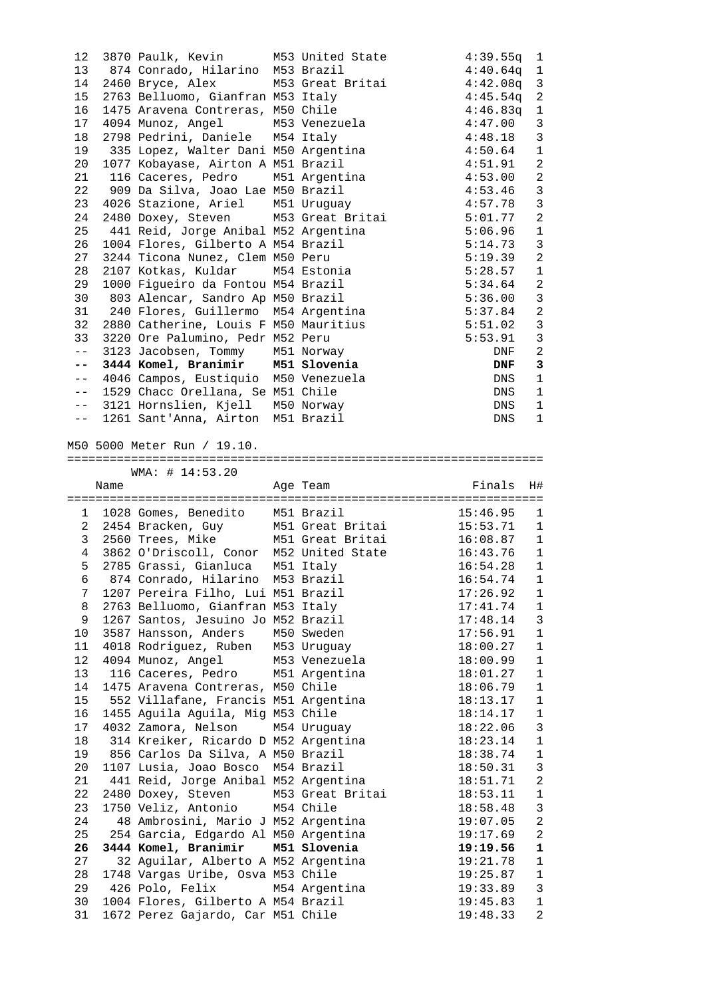|                 |      | 12 3870 Paulk, Kevin M53 United State                                   |          | $4:39.55q$ 1                                           |
|-----------------|------|-------------------------------------------------------------------------|----------|--------------------------------------------------------|
|                 |      | 13 874 Conrado, Hilarino M53 Brazil                                     |          | $4:40.64q$ 1                                           |
|                 |      | 14 2460 Bryce, Alex M53 Great Britai                                    |          | $4:42.08q$ 3                                           |
| 15              |      | 2763 Belluomo, Gianfran M53 Italy                                       |          | 2<br>4:45.54q                                          |
| 16              |      | 1475 Aravena Contreras, M50 Chile                                       |          | $\mathbf{1}$<br>4:46.83q                               |
| 17 <sub>2</sub> |      | 4094 Munoz, Angel M53 Venezuela                                         |          | $\mathbf{3}$<br>4:47.00                                |
|                 |      | 2798 Pedrini, Daniele M54 Italy                                         |          | $\overline{3}$                                         |
| 18              |      |                                                                         |          | 4:48.18                                                |
| 19              |      | 335 Lopez, Walter Dani M50 Argentina                                    |          | $\mathbf{1}$<br>4:50.64                                |
| 20              |      | 1077 Kobayase, Airton A M51 Brazil                                      |          | 2<br>4:51.91                                           |
| 21              |      | 116 Caceres, Pedro M51 Argentina                                        |          | $\overline{2}$<br>4:53.00                              |
| 22              |      | 909 Da Silva, Joao Lae M50 Brazil                                       |          | $4:53.46$ 3                                            |
| 23              |      | 4026 Stazione, Ariel M51 Uruguay                                        |          | $\overline{3}$<br>4:57.78                              |
| 24              |      | 2480 Doxey, Steven M53 Great Britai                                     |          | $\overline{2}$<br>5:01.77                              |
| 25              |      | 441 Reid, Jorge Anibal M52 Argentina                                    |          | $\quad \, 1$<br>5:06.96                                |
| 26              |      | 1004 Flores, Gilberto A M54 Brazil                                      |          | $\overline{3}$<br>5:14.73                              |
| 27              |      | 3244 Ticona Nunez, Clem M50 Peru                                        |          | 2<br>5:19.39                                           |
| 28              |      | 2107 Kotkas, Kuldar M54 Estonia                                         |          | 5:28.57<br>$\mathbf{1}$                                |
| 29              |      | 1000 Figueiro da Fontou M54 Brazil                                      |          | 2<br>5:34.64                                           |
| 30              |      | 803 Alencar, Sandro Ap M50 Brazil                                       |          | $\mathbf{3}$<br>5:36.00                                |
| 31              |      | 240 Flores, Guillermo M54 Argentina                                     |          | $\overline{2}$<br>5:37.84                              |
| 32              |      | 2880 Catherine, Louis F M50 Mauritius                                   |          | $\overline{3}$<br>5:51.02                              |
| 33              |      | 3220 Ore Palumino, Pedr M52 Peru                                        |          | $\overline{3}$<br>5:53.91                              |
| $---$           |      |                                                                         |          | 2<br>DNF                                               |
| $- -$           |      | 3123 Jacobsen, Tommy M51 Norway<br>3444 Komel, Branimir M51 Slovenia    |          | $\mathbf{3}$<br>DNF                                    |
| $- -$           |      | 4046 Campos, Eustiquio M50 Venezuela                                    |          | 1<br>DNS                                               |
| $--$            |      | 1529 Chacc Orellana, Se M51 Chile                                       |          | $\mathbf{1}$<br>DNS                                    |
| $  \,$ $\,$     |      | 3121 Hornslien, Kjell M50 Norway                                        |          | DNS<br>1                                               |
| $- -$           |      | 1261 Sant'Anna, Airton M51 Brazil                                       |          | $\mathbf{1}$<br>DNS                                    |
|                 |      |                                                                         |          |                                                        |
|                 |      | M50 5000 Meter Run / 19.10.                                             |          |                                                        |
|                 |      |                                                                         |          |                                                        |
|                 |      | WMA: # 14:53.20                                                         |          |                                                        |
|                 |      |                                                                         |          |                                                        |
|                 |      |                                                                         |          |                                                        |
|                 | Name |                                                                         | Age Team | Finals<br>H#                                           |
|                 |      |                                                                         |          |                                                        |
|                 |      | 1 1028 Gomes, Benedito M51 Brazil                                       |          | $15:46.95$ 1                                           |
|                 |      |                                                                         |          | 2 2454 Bracken, Guy M51 Great Britai 15:53.71 1        |
| 3               |      |                                                                         |          | 2560 Trees, Mike M51 Great Britai 16:08.87 1           |
|                 |      |                                                                         |          | 4 3862 O'Driscoll, Conor M52 United State 16:43.76 1   |
| 5               |      | 2785 Grassi, Gianluca M51 Italy                                         |          | $16:54.28$ 1                                           |
|                 |      | 6 874 Conrado, Hilarino M53 Brazil                                      |          | $16:54.74$ 1                                           |
| 7               |      | 1207 Pereira Filho, Lui M51 Brazil                                      |          | 17:26.92<br>$\mathbf{1}$                               |
| 8               |      | 2763 Belluomo, Gianfran M53 Italy                                       |          | 17:41.74<br>1                                          |
| 9               |      | 1267 Santos, Jesuino Jo M52 Brazil                                      |          | 3<br>17:48.14                                          |
| 10              |      | 3587 Hansson, Anders M50 Sweden                                         |          | 17:56.91<br>$\mathbf{1}$                               |
| 11              |      | 4018 Rodriguez, Ruben M53 Uruguay                                       |          | 18:00.27<br>$\mathbf 1$                                |
| 12              |      | 4094 Munoz, Angel M53 Venezuela                                         |          | 18:00.99<br>$\mathbf{1}$                               |
| 13              |      | 116 Caceres, Pedro M51 Argentina                                        |          | 18:01.27<br>1                                          |
| 14              |      | 1475 Aravena Contreras, M50 Chile                                       |          | 18:06.79<br>$\mathbf 1$                                |
| 15              |      | 552 Villafane, Francis M51 Argentina                                    |          | 18:13.17<br>$\mathbf{1}$                               |
| 16              |      | 1455 Aquila Aquila, Mig M53 Chile                                       |          | 18:14.17<br>$\mathbf{1}$                               |
| 17              |      | 4032 Zamora, Nelson M54 Uruguay                                         |          | 18:22.06<br>3                                          |
| 18              |      | 314 Kreiker, Ricardo D M52 Argentina                                    |          | 18:23.14<br>$\mathbf{1}$                               |
| 19              |      |                                                                         |          | 18:38.74<br>$\mathbf{1}$                               |
|                 |      | 856 Carlos Da Silva, A M50 Brazil                                       |          |                                                        |
| 20              |      | 1107 Lusia, Joao Bosco M54 Brazil                                       |          | 3<br>18:50.31                                          |
| 21              |      | 441 Reid, Jorge Anibal M52 Argentina                                    |          | $\sqrt{2}$<br>18:51.71                                 |
| 22              |      | 2480 Doxey, Steven M53 Great Britai                                     |          | 18:53.11<br>$\mathbf{1}$                               |
| 23              |      | 1750 Veliz, Antonio M54 Chile                                           |          | $\mathbf{3}$<br>18:58.48                               |
| 24              |      | 48 Ambrosini, Mario J M52 Argentina                                     |          | 2<br>19:07.05                                          |
| 25              |      | 254 Garcia, Edgardo Al M50 Argentina                                    |          | $\overline{a}$<br>19:17.69                             |
| 26              |      | 3444 Komel, Branimir M51 Slovenia                                       |          | 19:19.56<br>$\mathbf 1$                                |
| 27              |      | 32 Aguilar, Alberto A M52 Argentina                                     |          | 19:21.78<br>1                                          |
| 28              |      | 1748 Vargas Uribe, Osva M53 Chile                                       |          | 19:25.87<br>$\mathbf{1}$                               |
| 29              |      | 426 Polo, Felix M54 Argentina                                           |          | 19:33.89<br>3                                          |
| 30<br>31        |      | 1004 Flores, Gilberto A M54 Brazil<br>1672 Perez Gajardo, Car M51 Chile |          | 19:45.83<br>$\mathbf{1}$<br>$\overline{a}$<br>19:48.33 |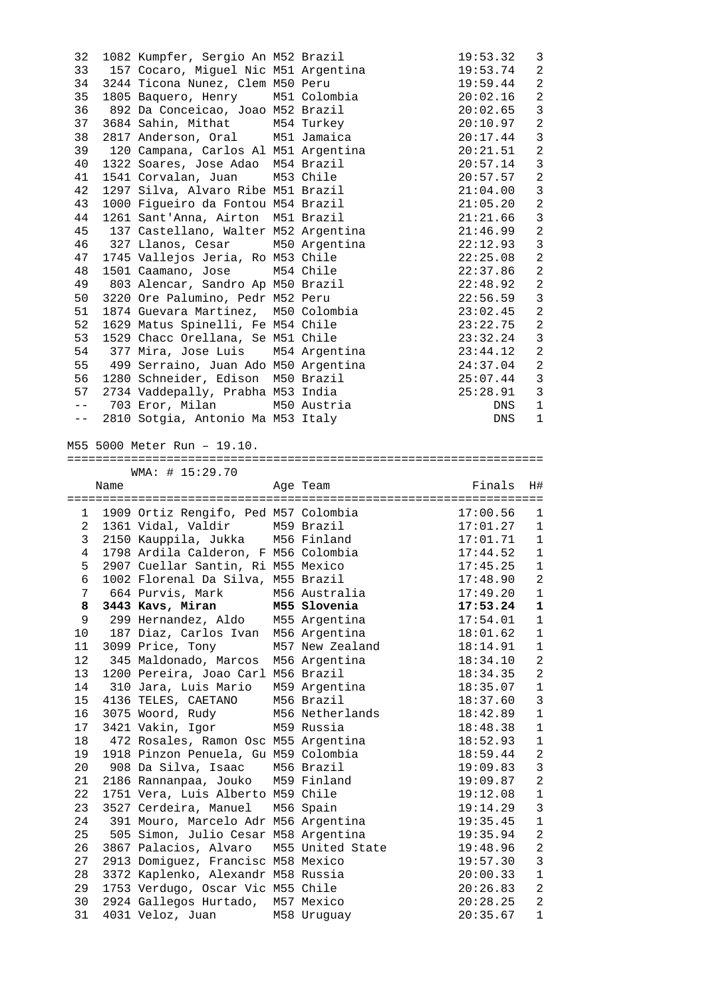| 32              |      | 1082 Kumpfer, Sergio An M52 Brazil                                |                                                                                                   | 19:53.32                     | 3                          |
|-----------------|------|-------------------------------------------------------------------|---------------------------------------------------------------------------------------------------|------------------------------|----------------------------|
|                 |      | 33 157 Cocaro, Miguel Nic M51 Argentina                           |                                                                                                   | 19:53.74                     | 2                          |
| 34              |      | 3244 Ticona Nunez, Clem M50 Peru                                  |                                                                                                   | 19:59.44                     | 2                          |
| 35              |      | 1805 Baquero, Henry M51 Colombia                                  |                                                                                                   | 20:02.16                     | $\overline{2}$             |
| 36              |      | 892 Da Conceicao, Joao M52 Brazil                                 |                                                                                                   | 20:02.65                     | 3                          |
| 37              |      | 3684 Sahin, Mithat M54 Turkey                                     |                                                                                                   | 20:10.97                     | $\overline{a}$             |
| 38              |      | 2817 Anderson, Oral M51 Jamaica                                   |                                                                                                   | 20:17.44                     | $\mathfrak{Z}$             |
| 39              |      | 120 Campana, Carlos Al M51 Argentina                              |                                                                                                   | 20:21.51                     | $\overline{2}$             |
| 40              |      | 1322 Soares, Jose Adao M54 Brazil                                 |                                                                                                   | 20:57.14                     | $\mathbf{3}$               |
| 41              |      | 1541 Corvalan, Juan M53 Chile                                     |                                                                                                   | 20:57.57                     | $\overline{2}$             |
| 42              |      | 1297 Silva, Alvaro Ribe M51 Brazil                                |                                                                                                   | 21:04.00                     | $\mathfrak{Z}$             |
| 43              |      | 1000 Figueiro da Fontou M54 Brazil                                |                                                                                                   | 21:05.20                     | $\overline{a}$             |
| 44              |      | 1261 Sant'Anna, Airton M51 Brazil                                 |                                                                                                   | 21:21.66                     | $\mathbf{3}$               |
| 45              |      | 137 Castellano, Walter M52 Argentina                              |                                                                                                   | 21:46.99                     | $\overline{a}$             |
| 46              |      | 327 Llanos, Cesar M50 Argentina                                   |                                                                                                   | 22:12.93                     | $\mathfrak{Z}$             |
| 47              |      | 1745 Vallejos Jeria, Ro M53 Chile                                 |                                                                                                   | 22:25.08                     | $\overline{a}$             |
| 48              |      | 1501 Caamano, Jose M54 Chile                                      |                                                                                                   | 22:37.86                     | $\overline{a}$             |
| 49              |      | 803 Alencar, Sandro Ap M50 Brazil                                 |                                                                                                   | 22:48.92                     | 2                          |
| 50              |      | 3220 Ore Palumino, Pedr M52 Peru                                  |                                                                                                   | 22:56.59                     | $\mathbf{3}$               |
| 51              |      | 1874 Guevara Martinez, M50 Colombia                               |                                                                                                   | 23:02.45                     | 2                          |
| 52              |      | 1629 Matus Spinelli, Fe M54 Chile                                 |                                                                                                   | 23:22.75                     | $\overline{2}$             |
| 53              |      | 1529 Chacc Orellana, Se M51 Chile                                 |                                                                                                   | 23:32.24                     | $\mathbf{3}$               |
| 54              |      | 377 Mira, Jose Luis M54 Argentina                                 |                                                                                                   | 23:44.12                     | 2                          |
| 55              |      | 499 Serraino, Juan Ado M50 Argentina                              |                                                                                                   | 24:37.04                     | $\overline{\phantom{a}}^2$ |
|                 |      | 56 1280 Schneider, Edison M50 Brazil                              |                                                                                                   | $25:07.44$ 3                 |                            |
|                 |      | 57 2734 Vaddepally, Prabha M53 India                              |                                                                                                   | $25:28.91$ 3                 |                            |
|                 |      | -- 703 Eror, Milan M50 Austria                                    |                                                                                                   | DNS                          | 1                          |
| $ -$            |      | 2810 Sotgia, Antonio Ma M53 Italy                                 |                                                                                                   | DNS                          | $\mathbf{1}$               |
|                 |      |                                                                   |                                                                                                   |                              |                            |
|                 |      | M55 5000 Meter Run - 19.10.                                       |                                                                                                   |                              |                            |
|                 |      |                                                                   |                                                                                                   |                              |                            |
|                 |      | WMA: # 15:29.70                                                   |                                                                                                   |                              |                            |
|                 |      |                                                                   |                                                                                                   |                              |                            |
|                 |      |                                                                   |                                                                                                   |                              |                            |
|                 | Name |                                                                   | Age Team                                                                                          | Finals                       | H#                         |
|                 |      |                                                                   |                                                                                                   |                              |                            |
|                 |      |                                                                   |                                                                                                   | 17:00.56                     | 1                          |
|                 |      |                                                                   | ---------------------<br>1 1909 Ortiz Rengifo, Ped M57 Colombia<br>2 1961 Vidal Valdir M59 Brazil | $17:01.27$ 1                 |                            |
|                 |      | 3 2150 Kauppila, Jukka M56 Finland                                |                                                                                                   |                              |                            |
|                 |      | 4 1798 Ardila Calderon, F M56 Colombia                            |                                                                                                   | $17:01.71$ 1<br>$17:44.52$ 1 |                            |
| 5               |      | 2907 Cuellar Santin, Ri M55 Mexico                                |                                                                                                   | $17:45.25$ 1                 |                            |
|                 |      | 6 1002 Florenal Da Silva, M55 Brazil                              |                                                                                                   | 17:48.90 2                   |                            |
|                 |      | 7 664 Purvis, Mark M56 Australia                                  |                                                                                                   | 17:49.20                     | $\mathbf{1}$               |
|                 |      | 8 3443 Kavs, Miran M55 Slovenia                                   |                                                                                                   | 17:53.24                     | 1                          |
|                 |      | 9 299 Hernandez, Aldo M55 Argentina                               |                                                                                                   | 17:54.01                     | 1                          |
| 10 <sup>°</sup> |      | 187 Diaz, Carlos Ivan M56 Argentina                               |                                                                                                   | 18:01.62                     | $\mathbf{1}$               |
| 11              |      | 3099 Price, Tony                                                  | M57 New Zealand                                                                                   | 18:14.91                     | $\mathbf{1}$               |
| 12              |      | 345 Maldonado, Marcos M56 Argentina                               |                                                                                                   | 18:34.10                     | 2                          |
| 13              |      | 1200 Pereira, Joao Carl M56 Brazil                                |                                                                                                   | 18:34.35                     | 2                          |
| 14              |      | 310 Jara, Luis Mario M59 Argentina                                |                                                                                                   | 18:35.07                     | $\mathbf{1}$               |
| 15              |      | 4136 TELES, CAETANO M56 Brazil                                    |                                                                                                   | 18:37.60                     | $\overline{3}$             |
| 16              |      | 3075 Woord, Rudy M56 Netherlands                                  |                                                                                                   | 18:42.89                     | $\mathbf{1}$               |
| 17              |      | 3421 Vakin, Igor M59 Russia                                       |                                                                                                   | 18:48.38                     | $\mathbf{1}$               |
| 18              |      | 472 Rosales, Ramon Osc M55 Argentina                              |                                                                                                   | 18:52.93                     | $\mathbf{1}$               |
| 19              |      | 1918 Pinzon Penuela, Gu M59 Colombia                              |                                                                                                   | 18:59.44                     | $\sqrt{2}$                 |
| $20\,$          |      | 908 Da Silva, Isaac M56 Brazil                                    |                                                                                                   | 19:09.83                     | $\overline{3}$             |
| 21              |      | 2186 Rannanpaa, Jouko M59 Finland                                 |                                                                                                   | 19:09.87                     | 2                          |
| 22              |      | 1751 Vera, Luis Alberto M59 Chile                                 |                                                                                                   | 19:12.08                     | $\mathbf{1}$               |
| 23              |      | 3527 Cerdeira, Manuel M56 Spain                                   |                                                                                                   | 19:14.29                     | $\overline{3}$             |
| 24              |      | 391 Mouro, Marcelo Adr M56 Argentina                              |                                                                                                   | 19:35.45                     | $\mathbf{1}$               |
| 25              |      | 505 Simon, Julio Cesar M58 Argentina                              |                                                                                                   | 19:35.94                     | 2                          |
| 26              |      |                                                                   | 3867 Palacios, Alvaro M55 United State                                                            | 19:48.96                     | $\mathbf{2}$               |
| 27              |      | 2913 Domiguez, Francisc M58 Mexico                                |                                                                                                   | 19:57.30                     | $\mathbf{3}$               |
| 28              |      | 3372 Kaplenko, Alexandr M58 Russia                                |                                                                                                   | 20:00.33                     | $\mathbf{1}$               |
| 29              |      | 1753 Verdugo, Oscar Vic M55 Chile                                 |                                                                                                   | 20:26.83                     | 2                          |
| 30<br>31        |      | 2924 Gallegos Hurtado, M57 Mexico<br>4031 Veloz, Juan M58 Uruguay |                                                                                                   | 20:28.25<br>20:35.67         | 2<br>$\mathbf{1}$          |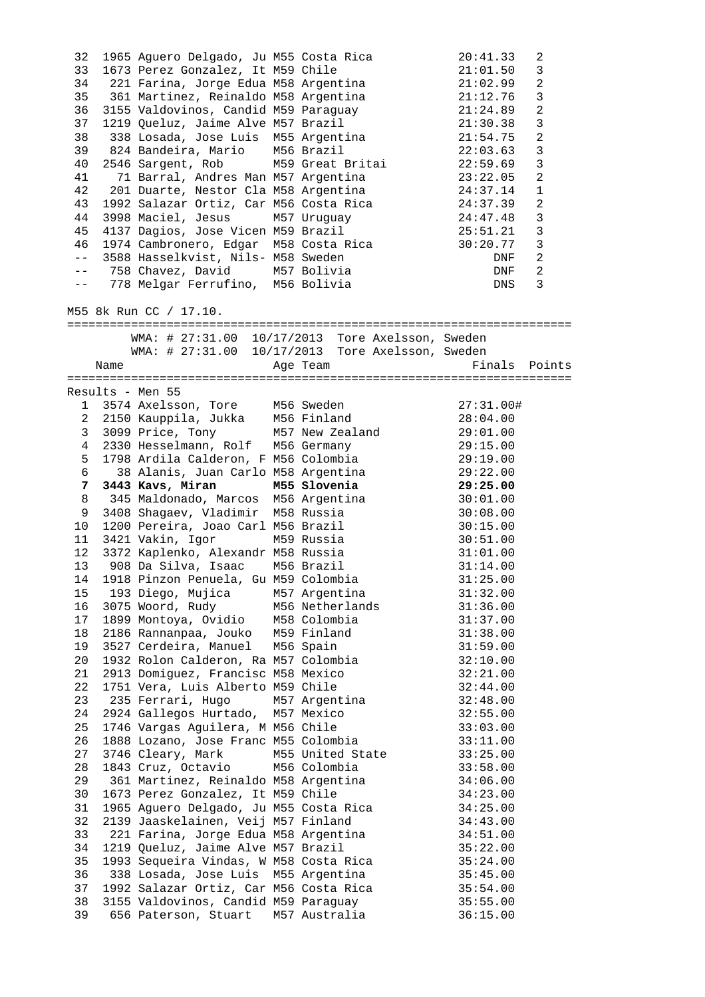| 32<br>33<br>34<br>35<br>36<br>37<br>38<br>39<br>40<br>41<br>42<br>43<br>44<br>45<br>46<br>$- -$<br>$- -$ |      | 1965 Aguero Delgado, Ju M55 Costa Rica<br>1673 Perez Gonzalez, It M59 Chile<br>221 Farina, Jorge Edua M58 Argentina<br>361 Martinez, Reinaldo M58 Argentina<br>3155 Valdovinos, Candid M59 Paraquay<br>1219 Queluz, Jaime Alve M57 Brazil<br>338 Losada, Jose Luis M55 Argentina<br>824 Bandeira, Mario M56 Brazil<br>2546 Sargent, Rob M59 Great Britai<br>71 Barral, Andres Man M57 Argentina<br>201 Duarte, Nestor Cla M58 Argentina<br>3998 Maciel, Jesus M57 Uruguay<br>4137 Dagios, Jose Vicen M59 Brazil<br>1974 Cambronero, Edgar M58 Costa Rica<br>-- 3588 Hasselkvist, Nils- M58 Sweden<br>758 Chavez, David M57 Bolivia<br>778 Melgar Ferrufino, M56 Bolivia | 1992 Salazar Ortiz, Car M56 Costa Rica 24:37.39  | 20:41.33<br>21:01.50<br>21:02.99<br>21:12.76<br>21:24.89<br>21:30.38<br>21:54.75<br>22:03.63<br>22:59.69<br>23:22.05<br>24:37.14<br>24:47.48<br>25:51.21<br>30:20.77<br>DNF<br>DNF<br>DNS | 2<br>3<br>$\overline{a}$<br>$\mathbf{3}$<br>$\overline{2}$<br>$\mathbf{3}$<br>$\overline{2}$<br>$\mathfrak{Z}$<br>$\mathbf{3}$<br>$\overline{2}$<br>$\mathbf{1}$<br>2<br>$\mathbf{3}$<br>$\mathbf{3}$<br>$\overline{3}$<br>2<br>2<br>3 |
|----------------------------------------------------------------------------------------------------------|------|-------------------------------------------------------------------------------------------------------------------------------------------------------------------------------------------------------------------------------------------------------------------------------------------------------------------------------------------------------------------------------------------------------------------------------------------------------------------------------------------------------------------------------------------------------------------------------------------------------------------------------------------------------------------------|--------------------------------------------------|-------------------------------------------------------------------------------------------------------------------------------------------------------------------------------------------|----------------------------------------------------------------------------------------------------------------------------------------------------------------------------------------------------------------------------------------|
|                                                                                                          |      | M55 8k Run CC / 17.10.                                                                                                                                                                                                                                                                                                                                                                                                                                                                                                                                                                                                                                                  |                                                  |                                                                                                                                                                                           |                                                                                                                                                                                                                                        |
|                                                                                                          |      |                                                                                                                                                                                                                                                                                                                                                                                                                                                                                                                                                                                                                                                                         | WMA: # 27:31.00 10/17/2013 Tore Axelsson, Sweden |                                                                                                                                                                                           |                                                                                                                                                                                                                                        |
|                                                                                                          |      |                                                                                                                                                                                                                                                                                                                                                                                                                                                                                                                                                                                                                                                                         | WMA: # 27:31.00 10/17/2013 Tore Axelsson, Sweden |                                                                                                                                                                                           |                                                                                                                                                                                                                                        |
|                                                                                                          | Name |                                                                                                                                                                                                                                                                                                                                                                                                                                                                                                                                                                                                                                                                         | Age Team                                         | Finals Points                                                                                                                                                                             |                                                                                                                                                                                                                                        |
|                                                                                                          |      | Results - Men 55                                                                                                                                                                                                                                                                                                                                                                                                                                                                                                                                                                                                                                                        |                                                  |                                                                                                                                                                                           |                                                                                                                                                                                                                                        |
|                                                                                                          |      | 1 3574 Axelsson, Tore M56 Sweden                                                                                                                                                                                                                                                                                                                                                                                                                                                                                                                                                                                                                                        |                                                  | 27:31.00#                                                                                                                                                                                 |                                                                                                                                                                                                                                        |
|                                                                                                          |      | 2 2150 Kauppila, Jukka M56 Finland                                                                                                                                                                                                                                                                                                                                                                                                                                                                                                                                                                                                                                      |                                                  | 28:04.00                                                                                                                                                                                  |                                                                                                                                                                                                                                        |
| $\mathbf{3}$                                                                                             |      |                                                                                                                                                                                                                                                                                                                                                                                                                                                                                                                                                                                                                                                                         | 3099 Price, Tony M57 New Zealand 29:01.00        |                                                                                                                                                                                           |                                                                                                                                                                                                                                        |
| 4                                                                                                        |      | 2330 Hesselmann, Rolf M56 Germany                                                                                                                                                                                                                                                                                                                                                                                                                                                                                                                                                                                                                                       |                                                  | 29:15.00                                                                                                                                                                                  |                                                                                                                                                                                                                                        |
| 5                                                                                                        |      | 1798 Ardila Calderon, F M56 Colombia                                                                                                                                                                                                                                                                                                                                                                                                                                                                                                                                                                                                                                    |                                                  | 29:19.00                                                                                                                                                                                  |                                                                                                                                                                                                                                        |
| 6                                                                                                        |      | 38 Alanis, Juan Carlo M58 Argentina                                                                                                                                                                                                                                                                                                                                                                                                                                                                                                                                                                                                                                     |                                                  | 29:22.00                                                                                                                                                                                  |                                                                                                                                                                                                                                        |
| 7                                                                                                        |      | 3443 Kavs, Miran M55 Slovenia                                                                                                                                                                                                                                                                                                                                                                                                                                                                                                                                                                                                                                           |                                                  | 29:25.00                                                                                                                                                                                  |                                                                                                                                                                                                                                        |
| 8<br>9                                                                                                   |      | 345 Maldonado, Marcos M56 Argentina<br>3408 Shaqaev, Vladimir M58 Russia                                                                                                                                                                                                                                                                                                                                                                                                                                                                                                                                                                                                |                                                  | 30:01.00<br>30:08.00                                                                                                                                                                      |                                                                                                                                                                                                                                        |
| 10                                                                                                       |      | 1200 Pereira, Joao Carl M56 Brazil                                                                                                                                                                                                                                                                                                                                                                                                                                                                                                                                                                                                                                      |                                                  | 30:15.00                                                                                                                                                                                  |                                                                                                                                                                                                                                        |
| 11                                                                                                       |      | 3421 Vakin, Igor                                                                                                                                                                                                                                                                                                                                                                                                                                                                                                                                                                                                                                                        | M59 Russia                                       | 30:51.00                                                                                                                                                                                  |                                                                                                                                                                                                                                        |
| 12                                                                                                       |      | 3372 Kaplenko, Alexandr M58 Russia                                                                                                                                                                                                                                                                                                                                                                                                                                                                                                                                                                                                                                      |                                                  | 31:01.00                                                                                                                                                                                  |                                                                                                                                                                                                                                        |
| 13                                                                                                       |      | 908 Da Silva, Isaac M56 Brazil                                                                                                                                                                                                                                                                                                                                                                                                                                                                                                                                                                                                                                          |                                                  | 31:14.00                                                                                                                                                                                  |                                                                                                                                                                                                                                        |
| 14                                                                                                       |      | 1918 Pinzon Penuela, Gu M59 Colombia                                                                                                                                                                                                                                                                                                                                                                                                                                                                                                                                                                                                                                    |                                                  | 31:25.00                                                                                                                                                                                  |                                                                                                                                                                                                                                        |
| 15                                                                                                       |      | 193 Diego, Mujica                                                                                                                                                                                                                                                                                                                                                                                                                                                                                                                                                                                                                                                       | M57 Argentina                                    | 31:32.00                                                                                                                                                                                  |                                                                                                                                                                                                                                        |
| 16                                                                                                       |      | 3075 Woord, Rudy M56 Netherlands                                                                                                                                                                                                                                                                                                                                                                                                                                                                                                                                                                                                                                        |                                                  | 31:36.00                                                                                                                                                                                  |                                                                                                                                                                                                                                        |
| 17                                                                                                       |      | 1899 Montoya, Ovidio M58 Colombia<br>2186 Rannanpaa, Jouko M59 Finland                                                                                                                                                                                                                                                                                                                                                                                                                                                                                                                                                                                                  |                                                  | 31:37.00                                                                                                                                                                                  |                                                                                                                                                                                                                                        |
| 18<br>19                                                                                                 |      | 3527 Cerdeira, Manuel M56 Spain                                                                                                                                                                                                                                                                                                                                                                                                                                                                                                                                                                                                                                         |                                                  | 31:38.00<br>31:59.00                                                                                                                                                                      |                                                                                                                                                                                                                                        |
| 20                                                                                                       |      | 1932 Rolon Calderon, Ra M57 Colombia                                                                                                                                                                                                                                                                                                                                                                                                                                                                                                                                                                                                                                    |                                                  | 32:10.00                                                                                                                                                                                  |                                                                                                                                                                                                                                        |
| 21                                                                                                       |      | 2913 Domiguez, Francisc M58 Mexico                                                                                                                                                                                                                                                                                                                                                                                                                                                                                                                                                                                                                                      |                                                  | 32:21.00                                                                                                                                                                                  |                                                                                                                                                                                                                                        |
| 22                                                                                                       |      | 1751 Vera, Luis Alberto M59 Chile                                                                                                                                                                                                                                                                                                                                                                                                                                                                                                                                                                                                                                       |                                                  | 32:44.00                                                                                                                                                                                  |                                                                                                                                                                                                                                        |
| 23                                                                                                       |      | 235 Ferrari, Hugo                                                                                                                                                                                                                                                                                                                                                                                                                                                                                                                                                                                                                                                       | M57 Argentina                                    | 32:48.00                                                                                                                                                                                  |                                                                                                                                                                                                                                        |
| 24                                                                                                       |      | 2924 Gallegos Hurtado, M57 Mexico                                                                                                                                                                                                                                                                                                                                                                                                                                                                                                                                                                                                                                       |                                                  | 32:55.00                                                                                                                                                                                  |                                                                                                                                                                                                                                        |
| 25                                                                                                       |      | 1746 Vargas Aguilera, M M56 Chile                                                                                                                                                                                                                                                                                                                                                                                                                                                                                                                                                                                                                                       |                                                  | 33:03.00                                                                                                                                                                                  |                                                                                                                                                                                                                                        |
| 26                                                                                                       |      | 1888 Lozano, Jose Franc M55 Colombia                                                                                                                                                                                                                                                                                                                                                                                                                                                                                                                                                                                                                                    |                                                  | 33:11.00                                                                                                                                                                                  |                                                                                                                                                                                                                                        |
| 27<br>28                                                                                                 |      | 3746 Cleary, Mark<br>1843 Cruz, Octavio M56 Colombia                                                                                                                                                                                                                                                                                                                                                                                                                                                                                                                                                                                                                    | M55 United State                                 | 33:25.00<br>33:58.00                                                                                                                                                                      |                                                                                                                                                                                                                                        |
| 29                                                                                                       |      | 361 Martinez, Reinaldo M58 Argentina                                                                                                                                                                                                                                                                                                                                                                                                                                                                                                                                                                                                                                    |                                                  | 34:06.00                                                                                                                                                                                  |                                                                                                                                                                                                                                        |
| 30                                                                                                       |      | 1673 Perez Gonzalez, It M59 Chile                                                                                                                                                                                                                                                                                                                                                                                                                                                                                                                                                                                                                                       |                                                  | 34:23.00                                                                                                                                                                                  |                                                                                                                                                                                                                                        |
| 31                                                                                                       |      |                                                                                                                                                                                                                                                                                                                                                                                                                                                                                                                                                                                                                                                                         | 1965 Aguero Delgado, Ju M55 Costa Rica           | 34:25.00                                                                                                                                                                                  |                                                                                                                                                                                                                                        |
| 32                                                                                                       |      | 2139 Jaaskelainen, Veij M57 Finland                                                                                                                                                                                                                                                                                                                                                                                                                                                                                                                                                                                                                                     |                                                  | 34:43.00                                                                                                                                                                                  |                                                                                                                                                                                                                                        |
| 33                                                                                                       |      | 221 Farina, Jorge Edua M58 Argentina                                                                                                                                                                                                                                                                                                                                                                                                                                                                                                                                                                                                                                    |                                                  | 34:51.00                                                                                                                                                                                  |                                                                                                                                                                                                                                        |
| 34                                                                                                       |      | 1219 Queluz, Jaime Alve M57 Brazil                                                                                                                                                                                                                                                                                                                                                                                                                                                                                                                                                                                                                                      |                                                  | 35:22.00                                                                                                                                                                                  |                                                                                                                                                                                                                                        |
| 35                                                                                                       |      | 1993 Sequeira Vindas, W M58 Costa Rica                                                                                                                                                                                                                                                                                                                                                                                                                                                                                                                                                                                                                                  |                                                  | 35:24.00                                                                                                                                                                                  |                                                                                                                                                                                                                                        |
| 36                                                                                                       |      | 338 Losada, Jose Luis M55 Argentina                                                                                                                                                                                                                                                                                                                                                                                                                                                                                                                                                                                                                                     |                                                  | 35:45.00                                                                                                                                                                                  |                                                                                                                                                                                                                                        |
| 37<br>38                                                                                                 |      | 1992 Salazar Ortiz, Car M56 Costa Rica<br>3155 Valdovinos, Candid M59 Paraguay                                                                                                                                                                                                                                                                                                                                                                                                                                                                                                                                                                                          |                                                  | 35:54.00<br>35:55.00                                                                                                                                                                      |                                                                                                                                                                                                                                        |
| 39                                                                                                       |      | 656 Paterson, Stuart                                                                                                                                                                                                                                                                                                                                                                                                                                                                                                                                                                                                                                                    | M57 Australia                                    | 36:15.00                                                                                                                                                                                  |                                                                                                                                                                                                                                        |
|                                                                                                          |      |                                                                                                                                                                                                                                                                                                                                                                                                                                                                                                                                                                                                                                                                         |                                                  |                                                                                                                                                                                           |                                                                                                                                                                                                                                        |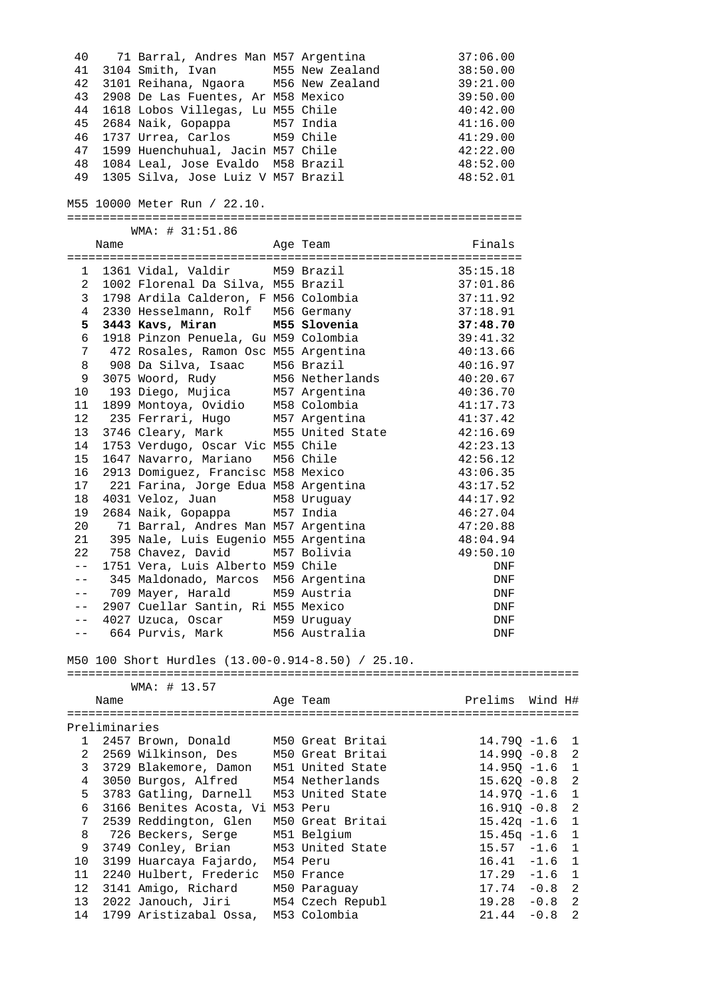| 40           |               |                                                                            | 71 Barral, Andres Man M57 Argentina                                                                                                                                                                                                                                                                       | 37:06.00                                                          |
|--------------|---------------|----------------------------------------------------------------------------|-----------------------------------------------------------------------------------------------------------------------------------------------------------------------------------------------------------------------------------------------------------------------------------------------------------|-------------------------------------------------------------------|
| 41           |               |                                                                            | 3104 Smith, Ivan M55 New Zealand 38:50.00                                                                                                                                                                                                                                                                 |                                                                   |
| 42           |               |                                                                            | 3101 Reihana, Ngaora M56 New Zealand 39:21.00                                                                                                                                                                                                                                                             |                                                                   |
| 43           |               |                                                                            |                                                                                                                                                                                                                                                                                                           |                                                                   |
| 44           |               |                                                                            |                                                                                                                                                                                                                                                                                                           |                                                                   |
| 45           |               |                                                                            |                                                                                                                                                                                                                                                                                                           |                                                                   |
|              |               |                                                                            | 2908 De Las Fuentes, Ar M58 Mexico 39:50.00<br>1618 Lobos Villegas, Lu M55 Chile 40:42.00<br>2684 Naik, Gopappa 1957 India 41:16.00<br>2684 Naik, Gopappa<br>1737 Urrea, Carlos M59 Chile<br>1599 Huenchuhual, Jacin M57 Chile<br>1084 Leal, Jose Evaldo M58 Brazil<br>1305 Silva, Jose Luiz V M57 Brazil |                                                                   |
| 46           |               |                                                                            |                                                                                                                                                                                                                                                                                                           | 41:29.00                                                          |
| 47           |               |                                                                            |                                                                                                                                                                                                                                                                                                           | 42:22.00                                                          |
| 48           |               |                                                                            |                                                                                                                                                                                                                                                                                                           | 48:52.00                                                          |
| 49           |               |                                                                            |                                                                                                                                                                                                                                                                                                           | 48:52.01                                                          |
|              |               |                                                                            |                                                                                                                                                                                                                                                                                                           |                                                                   |
|              |               | M55 10000 Meter Run / 22.10.                                               |                                                                                                                                                                                                                                                                                                           |                                                                   |
|              |               |                                                                            |                                                                                                                                                                                                                                                                                                           |                                                                   |
|              |               | WMA: # 31:51.86                                                            |                                                                                                                                                                                                                                                                                                           |                                                                   |
|              | Name          |                                                                            | Age Team                                                                                                                                                                                                                                                                                                  | Finals                                                            |
|              |               |                                                                            |                                                                                                                                                                                                                                                                                                           |                                                                   |
|              |               |                                                                            |                                                                                                                                                                                                                                                                                                           |                                                                   |
|              |               |                                                                            |                                                                                                                                                                                                                                                                                                           |                                                                   |
|              |               |                                                                            | 1 1361 Vidal, Valdir 1959 Brazil 1361 135:15.18<br>2 1002 Florenal Da Silva, M55 Brazil 137:01.86<br>3 1798 Ardila Calderon, F M56 Colombia 137:11.92<br>2330 Hesselmann, Rolf 1956 Germany 137:18.91                                                                                                     |                                                                   |
|              |               |                                                                            |                                                                                                                                                                                                                                                                                                           |                                                                   |
|              |               |                                                                            |                                                                                                                                                                                                                                                                                                           |                                                                   |
| 5            |               |                                                                            | 3443 Kavs, Miran M55 Slovenia 37:48.70                                                                                                                                                                                                                                                                    |                                                                   |
| 6            |               |                                                                            | 1918 Pinzon Penuela, Gu M59 Colombia 39:41.32                                                                                                                                                                                                                                                             |                                                                   |
| 7            |               |                                                                            | 472 Rosales, Ramon Osc M55 Argentina (1992) 40:13.66                                                                                                                                                                                                                                                      |                                                                   |
| 8            |               |                                                                            |                                                                                                                                                                                                                                                                                                           | 40:16.97                                                          |
| 9            |               |                                                                            |                                                                                                                                                                                                                                                                                                           |                                                                   |
| 10           |               |                                                                            |                                                                                                                                                                                                                                                                                                           |                                                                   |
| 11           |               |                                                                            |                                                                                                                                                                                                                                                                                                           |                                                                   |
| 12           |               |                                                                            | 908 Da Silva, Isaac M56 Brazil (16.97<br>3075 Woord, Rudy (16.97 M56 Netherlands (19.20.67 193 Diego, Mujica (19.97 Argentina (19.36.70 1899 Montoya, Ovidio (19.78 M57 Argentina (19.36.70 1899 Ferrari, Hugo (19.78) M57 Argen                                                                          |                                                                   |
| 13           |               |                                                                            |                                                                                                                                                                                                                                                                                                           |                                                                   |
| 14           |               |                                                                            | 3746 Cleary, Mark M55 United State 42:16.69<br>1753 Verdugo, Oscar Vic M55 Chile 42:23.13<br>1647 Navarro, Mariano M56 Chile 42:56.12                                                                                                                                                                     |                                                                   |
|              |               |                                                                            |                                                                                                                                                                                                                                                                                                           |                                                                   |
| 15           |               |                                                                            |                                                                                                                                                                                                                                                                                                           |                                                                   |
| 16           |               | 2913 Domiguez, Francisc M58 Mexico                                         |                                                                                                                                                                                                                                                                                                           | 43:06.35                                                          |
| 17           |               |                                                                            | 221 Farina, Jorge Edua M58 Argentina<br>221 Farina,<br>031 Veloz, Juan Mbo<br>684 Naik, Gopappa M57 India<br>71 Barral, Andres Man M57 Argentina 47:20.88<br>395 Nale, Luis Eugenio M55 Argentina 48:04.94<br>758 Chavez, David M57 Bolivia 49:50.10<br>758 Chavez, David                                 | 43:17.52                                                          |
| 18           |               | 4031 Veloz, Juan         M58 Uruguay<br>2684 Naik, Gopappa       M57 India |                                                                                                                                                                                                                                                                                                           |                                                                   |
| 19           |               |                                                                            |                                                                                                                                                                                                                                                                                                           |                                                                   |
| 20           |               |                                                                            |                                                                                                                                                                                                                                                                                                           |                                                                   |
| 21           |               |                                                                            |                                                                                                                                                                                                                                                                                                           |                                                                   |
| 22           |               | 758 Chavez, David                                                          |                                                                                                                                                                                                                                                                                                           |                                                                   |
| $- -$        |               | 1751 Vera, Luis Alberto M59 Chile                                          |                                                                                                                                                                                                                                                                                                           |                                                                   |
| $- -$        |               |                                                                            |                                                                                                                                                                                                                                                                                                           |                                                                   |
| $- -$        |               | 709 Mayer, Harald                                                          |                                                                                                                                                                                                                                                                                                           |                                                                   |
|              |               |                                                                            | M59 Austria                                                                                                                                                                                                                                                                                               |                                                                   |
| $- -$        |               | 2907 Cuellar Santin, Ri M55 Mexico                                         |                                                                                                                                                                                                                                                                                                           | DNF                                                               |
| $ -$         |               | 4027 Uzuca, Oscar                                                          | M59 Uruguay                                                                                                                                                                                                                                                                                               | DNF                                                               |
|              |               | 664 Purvis, Mark                                                           | M56 Australia                                                                                                                                                                                                                                                                                             | DNF                                                               |
|              |               |                                                                            |                                                                                                                                                                                                                                                                                                           |                                                                   |
|              |               | M50 100 Short Hurdles (13.00-0.914-8.50) / 25.10.                          |                                                                                                                                                                                                                                                                                                           |                                                                   |
|              |               |                                                                            |                                                                                                                                                                                                                                                                                                           |                                                                   |
|              |               | WMA: # 13.57                                                               |                                                                                                                                                                                                                                                                                                           |                                                                   |
|              | Name          |                                                                            | Age Team                                                                                                                                                                                                                                                                                                  | Prelims Wind H#                                                   |
|              |               |                                                                            |                                                                                                                                                                                                                                                                                                           |                                                                   |
|              | Preliminaries |                                                                            |                                                                                                                                                                                                                                                                                                           |                                                                   |
| $\mathbf{1}$ |               | 2457 Brown, Donald                                                         | M50 Great Britai                                                                                                                                                                                                                                                                                          | $14.79Q - 1.6$<br>1                                               |
| 2            |               | 2569 Wilkinson, Des                                                        | M50 Great Britai                                                                                                                                                                                                                                                                                          | $14.99Q - 0.8$<br>2                                               |
|              |               |                                                                            |                                                                                                                                                                                                                                                                                                           |                                                                   |
| 3            |               | 3729 Blakemore, Damon                                                      | M51 United State                                                                                                                                                                                                                                                                                          | $14.95Q - 1.6$ 1                                                  |
| 4            |               | 3050 Burgos, Alfred                                                        | M54 Netherlands                                                                                                                                                                                                                                                                                           | $15.62Q - 0.8$ 2                                                  |
| 5            |               | 3783 Gatling, Darnell                                                      | M53 United State                                                                                                                                                                                                                                                                                          | $14.97Q - 1.6$ 1                                                  |
| 6            |               | 3166 Benites Acosta, Vi M53 Peru                                           |                                                                                                                                                                                                                                                                                                           | 2<br>$16.91Q - 0.8$                                               |
| 7            |               |                                                                            | M50 Great Britai                                                                                                                                                                                                                                                                                          | $15.42q -1.6$<br>$\mathbf{1}$                                     |
|              |               | 2539 Reddington, Glen                                                      |                                                                                                                                                                                                                                                                                                           |                                                                   |
| 8            |               | 726 Beckers, Serge                                                         | M51 Belgium                                                                                                                                                                                                                                                                                               | $15.45q -1.6$<br>1                                                |
| 9            |               | 3749 Conley, Brian                                                         | M53 United State                                                                                                                                                                                                                                                                                          | $15.57 - 1.6$<br>1                                                |
| 10           |               |                                                                            | M54 Peru                                                                                                                                                                                                                                                                                                  | 1                                                                 |
|              |               | 3199 Huarcaya Fajardo,                                                     |                                                                                                                                                                                                                                                                                                           | $16.41 - 1.6$                                                     |
| 11           |               | 2240 Hulbert, Frederic                                                     | M50 France                                                                                                                                                                                                                                                                                                | $17.29 - 1.6$ 1                                                   |
| 12           |               | 3141 Amigo, Richard                                                        | M50 Paraguay                                                                                                                                                                                                                                                                                              | $17.74 - 0.8$ 2                                                   |
| 13<br>14     |               | 2022 Janouch, Jiri<br>1799 Aristizabal Ossa,                               | M54 Czech Republ<br>M53 Colombia                                                                                                                                                                                                                                                                          | $19.28 - 0.8$<br>$\overline{\phantom{0}}^2$<br>$21.44 - 0.8$<br>2 |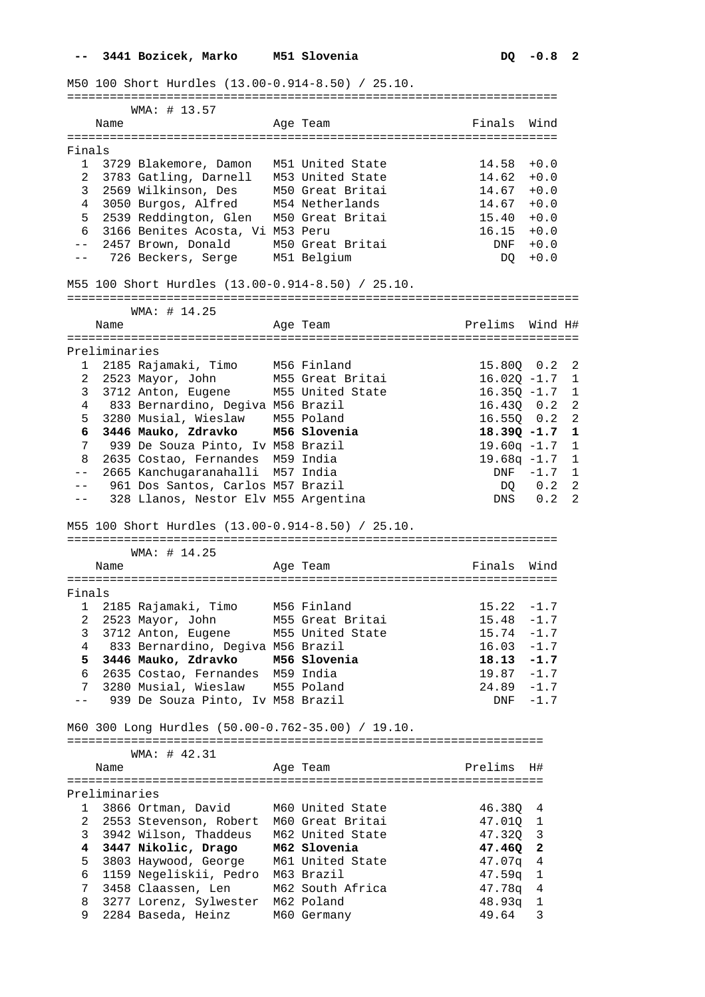M50 100 Short Hurdles (13.00-0.914-8.50) / 25.10.

===================================================================== WMA: # 13.57 Name **Age Team** Age Team Finals Wind ===================================================================== Finals 1 3729 Blakemore, Damon M51 United State 14.58 +0.0 2 3783 Gatling, Darnell M53 United State 14.62 +0.0 3 2569 Wilkinson, Des M50 Great Britai 14.67 +0.0 4 3050 Burgos, Alfred M54 Netherlands 14.67 +0.0 9 3050 Burgos, Alfred M54 Netherlands (14.07 +0.0<br>
5 2539 Reddington, Glen M50 Great Britai (15.40 +0.0<br>
6 3166 Benites Acosta, Vi M53 Peru (16.15 +0.0 6 3166 Benites Acosta, Vi M53 Peru 16.15 +0.0 -- 2457 Brown, Donald M50 Great Britai DNF +0.0 -- 726 Beckers, Serge M51 Belgium DQ +0.0 M55 100 Short Hurdles (13.00-0.914-8.50) / 25.10. ======================================================================== WMA: # 14.25 Name Mage Team Age Team Prelims Wind H# ======================================================================== Preliminaries 1 2185 Rajamaki, Timo M56 Finland 15.80Q 0.2 2 2 2523 Mayor, John M55 Great Britai 16.02Q -1.7 1 3 3712 Anton, Eugene M55 United State 16.35Q -1.7 1 4 833 Bernardino, Degiva M56 Brazil 16.43Q 0.2 2 5 3280 Musial, Wieslaw M55 Poland 16.55Q 0.2 2  **6 3446 Mauko, Zdravko M56 Slovenia 18.39Q -1.7 1**  7 939 De Souza Pinto, Iv M58 Brazil 19.60q -1.7 1 8 2635 Costao, Fernandes M59 India 19.68q -1.7 1 -- 2665 Kanchugaranahalli M57 India DNF -1.7 1 -- 961 Dos Santos, Carlos M57 Brazil DQ 0.2 2 339 De Souza Pinco, IV M56 Brazil<br>
8 2635 Costao, Fernandes M59 India<br>
-- 2665 Kanchugaranahalli M57 India<br>
-- 361 Dos Santos, Carlos M57 Brazil<br>
-- 328 Llanos, Nestor Elv M55 Argentina<br>
DNS 0.2 2 M55 100 Short Hurdles (13.00-0.914-8.50) / 25.10. ===================================================================== WMA: # 14.25 Name **Age Team** Age Team Finals Wind ===================================================================== Finals 1 2185 Rajamaki, Timo M56 Finland 15.22 -1.7 2 2523 Mayor, John M55 Great Britai 15.48 -1.7 3 3712 Anton, Eugene M55 United State 15.74 -1.7 4 833 Bernardino, Degiva M56 Brazil 16.03 -1.7  **5 3446 Mauko, Zdravko M56 Slovenia 18.13 -1.7**  6 2635 Costao, Fernandes M59 India 19.87 -1.7 7 3280 Musial, Wieslaw M55 Poland 24.89 -1.7 -- 939 De Souza Pinto, Iv M58 Brazil Charles Controller March 2014 M60 300 Long Hurdles (50.00-0.762-35.00) / 19.10. =================================================================== WMA: # 42.31 Name Ream Age Team Prelims H# =================================================================== Preliminaries<br>1 3866 Ortman, David M60 United State 1 3866 Ortman, David M60 United State 46.38Q 4 2 2553 Stevenson, Robert M60 Great Britai 47.01Q 1 3 3942 Wilson, Thaddeus M62 United State 47.32Q 3  **4 3447 Nikolic, Drago M62 Slovenia 47.46Q 2**  5 3803 Haywood, George M61 United State 47.07q 4 6 1159 Negeliskii, Pedro M63 Brazil 47.59q 1 7 3458 Claassen, Len M62 South Africa 47.78q 4 8 3277 Lorenz, Sylwester M62 Poland 48.93q 1 9 2284 Baseda, Heinz M60 Germany 49.64 3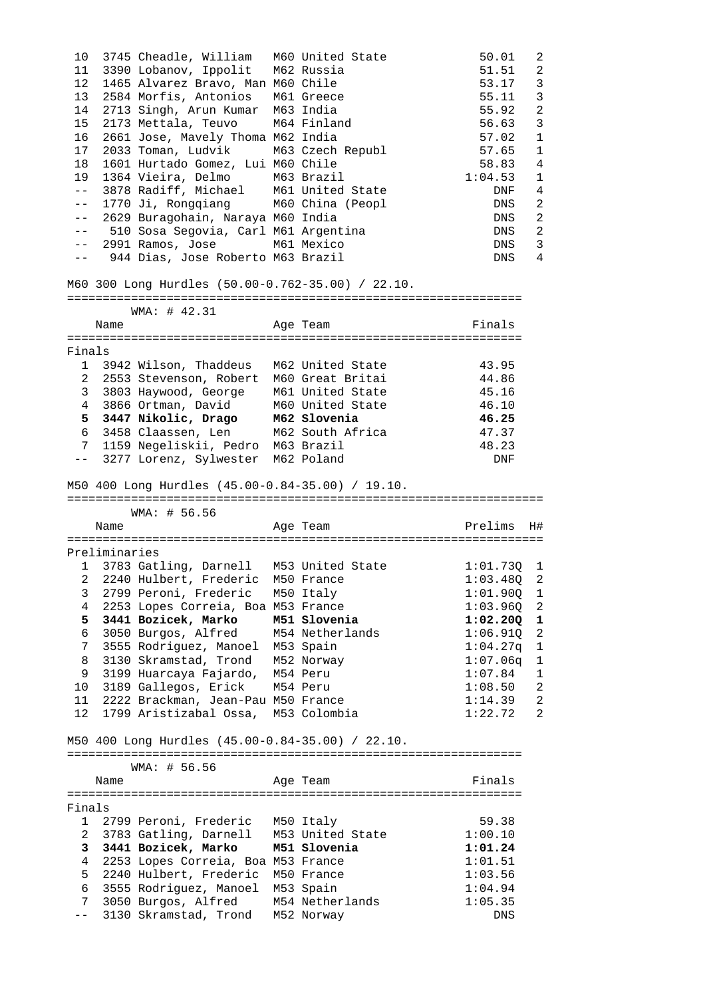| 10             |               | 3745 Cheadle, William M60 United State                                                                         |                                                  | 50.01                    | 2                          |
|----------------|---------------|----------------------------------------------------------------------------------------------------------------|--------------------------------------------------|--------------------------|----------------------------|
| 11             |               | 3390 Lobanov, Ippolit                                                                                          | M62 Russia                                       | 51.51                    | 2                          |
| 12             |               | 1465 Alvarez Bravo, Man M60 Chile                                                                              |                                                  | 53.17                    | $\mathbf{3}$               |
| 13             |               | 2584 Morfis, Antonios                                                                                          | M61 Greece                                       | 55.11                    | 3                          |
| 14             |               | 2713 Singh, Arun Kumar                                                                                         | M63 India                                        | 55.92                    | $\overline{a}$             |
| 15             |               | 2173 Mettala, Teuvo                                                                                            | M64 Finland                                      | 56.63                    | 3                          |
| 16             |               | 2661 Jose, Mavely Thoma M62 India                                                                              |                                                  | 57.02                    | $\mathbf{1}$               |
| 17             |               | 2033 Toman, Ludvik M63 Czech Republ                                                                            |                                                  | 57.65                    | 1                          |
| 18             |               | 1601 Hurtado Gomez, Lui M60 Chile                                                                              |                                                  | 58.83                    | $\overline{4}$             |
| 19             |               | 1364 Vieira, Delmo M63 Brazil                                                                                  |                                                  | 1:04.53                  | $\mathbf{1}$               |
| $- -$          |               | 3878 Radiff, Michael M61 United State                                                                          |                                                  | DNF                      | 4                          |
| $- \ -$        |               | 1770 Ji, Rongqiang M60 China (Peopl                                                                            |                                                  | DNS                      | 2                          |
| $ -$           |               | 2629 Buragohain, Naraya M60 India                                                                              |                                                  | DNS                      | $\overline{2}$             |
| $- -$          |               | 510 Sosa Segovia, Carl M61 Argentina                                                                           |                                                  | DNS                      | $\overline{\phantom{0}}^2$ |
| $- -$          |               | 2991 Ramos, Jose                                                                                               | M61 Mexico                                       | DNS                      | $\overline{3}$             |
| $- -$          |               | 944 Dias, Jose Roberto M63 Brazil                                                                              |                                                  | DNS                      | $\overline{4}$             |
|                |               | M60 300 Long Hurdles (50.00-0.762-35.00) / 22.10.                                                              |                                                  |                          |                            |
|                |               | WMA: # 42.31                                                                                                   |                                                  |                          |                            |
|                | Name          |                                                                                                                | Age Team                                         | Finals                   |                            |
|                |               |                                                                                                                |                                                  |                          |                            |
| Finals         |               |                                                                                                                |                                                  |                          |                            |
|                |               | 1 3942 Wilson, Thaddeus                                                                                        | M62 United State                                 | 43.95                    |                            |
|                |               | 2 2553 Stevenson, Robert                                                                                       | M60 Great Britai                                 | 44.86                    |                            |
|                |               | 3 3803 Haywood, George                                                                                         | M61 United State                                 | 45.16                    |                            |
| $\overline{4}$ |               | 3866 Ortman, David M60 United State<br>3447 Nikolic, Drago M62 Slovenia<br>3458 Slovenser Luc M62 South M50ice |                                                  | 46.10                    |                            |
| 5              |               |                                                                                                                |                                                  | 46.25                    |                            |
| 6              |               | 3458 Claassen, Len                                                                                             | M62 South Africa                                 | 47.37                    |                            |
| 7              |               | 1159 Negeliskii, Pedro M63 Brazil                                                                              |                                                  | 48.23                    |                            |
| $---$          |               | 3277 Lorenz, Sylwester                                                                                         | M62 Poland                                       | DNF                      |                            |
|                |               | M50 400 Long Hurdles (45.00-0.84-35.00) / 19.10.                                                               |                                                  |                          |                            |
|                |               |                                                                                                                |                                                  |                          |                            |
|                |               | WMA: # 56.56                                                                                                   |                                                  |                          |                            |
|                | Name          |                                                                                                                | Age Team                                         | Prelims                  | H#                         |
|                |               |                                                                                                                |                                                  |                          |                            |
|                | Preliminaries |                                                                                                                |                                                  |                          |                            |
|                |               |                                                                                                                | 1 3783 Gatling, Darnell M53 United State         | $1:01.73Q$ 1             |                            |
| 3              |               |                                                                                                                | 2 2240 Hulbert, Frederic M50 France<br>M50 Italy | $1:03.48Q$ 2             |                            |
| 4              |               | 2799 Peroni, Frederic                                                                                          |                                                  | $1:01.90Q$ 1             |                            |
| 5.             |               | 2253 Lopes Correia, Boa M53 France<br>3441 Bozicek, Marko                                                      | M51 Slovenia                                     | $1:03.96Q$ 2<br>1:02.20Q | 1                          |
| 6              |               |                                                                                                                |                                                  | 1:06.91Q                 | 2                          |
| 7              |               | 3050 Burgos, Alfred M54 Netherlands                                                                            |                                                  | 1:04.27q                 | 1                          |
| 8              |               | 3555 Rodriguez, Manoel M53 Spain<br>3130 Skramstad, Trond M52 Norway                                           |                                                  | 1:07.06q                 | $\mathbf{1}$               |
| 9              |               | 3199 Huarcaya Fajardo, M54 Peru                                                                                |                                                  | 1:07.84                  | $\mathbf 1$                |
| 10             |               | 3189 Gallegos, Erick                                                                                           | M54 Peru                                         | 1:08.50                  | 2                          |
|                |               | 11 2222 Brackman, Jean-Pau M50 France                                                                          |                                                  | 1:14.39                  | 2                          |
| 12             |               | 1799 Aristizabal Ossa,                                                                                         | M53 Colombia                                     | 1:22.72                  | $\overline{2}$             |
|                |               | M50 400 Long Hurdles (45.00-0.84-35.00) / 22.10.                                                               |                                                  |                          |                            |
|                |               | WMA: # 56.56                                                                                                   |                                                  |                          |                            |
|                | Name          |                                                                                                                | Age Team                                         | Finals                   |                            |
|                |               |                                                                                                                |                                                  |                          |                            |
|                |               |                                                                                                                |                                                  |                          |                            |
| 1              |               | 2799 Peroni, Frederic M50 Italy                                                                                |                                                  | 59.38                    |                            |
| $\overline{a}$ |               | 3783 Gatling, Darnell                                                                                          | M53 United State                                 | 1:00.10                  |                            |
| Finals<br>3    |               | 3441 Bozicek, Marko                                                                                            | M51 Slovenia                                     | 1:01.24                  |                            |
| 4              |               | 2253 Lopes Correia, Boa M53 France                                                                             |                                                  | 1:01.51                  |                            |
| 5              |               | 2240 Hulbert, Frederic                                                                                         | M50 France                                       | 1:03.56                  |                            |
| 6              |               | 3555 Rodriguez, Manoel                                                                                         | M53 Spain                                        | 1:04.94                  |                            |
| 7<br>$- -$     |               | 3050 Burgos, Alfred<br>3130 Skramstad, Trond                                                                   | M54 Netherlands<br>M52 Norway                    | 1:05.35<br>DNS           |                            |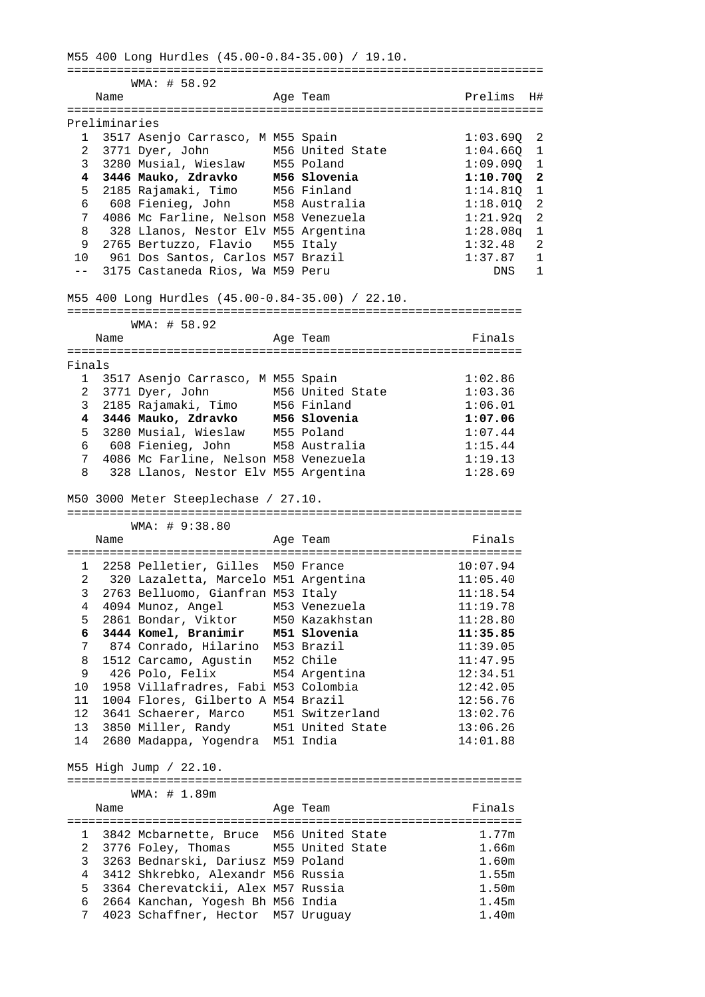M55 400 Long Hurdles (45.00-0.84-35.00) / 19.10. =================================================================== WMA: # 58.92 Name **Age Team Prelims** H# =================================================================== Preliminaries 1 3517 Asenjo Carrasco, M M55 Spain 1:03.69Q 2 2 3771 Dyer, John M56 United State 1:04.66Q 1 3 3280 Musial, Wieslaw M55 Poland 1:09.09Q 1  **4 3446 Mauko, Zdravko M56 Slovenia 1:10.70Q 2**  5 2185 Rajamaki, Timo M56 Finland 1:14.81Q 1 6 608 Fienieg, John M58 Australia 1:18.01Q 2 7 4086 Mc Farline, Nelson M58 Venezuela 1:21.92q 2 8 328 Llanos, Nestor Elv M55 Argentina 1:28.08q 1 9 2765 Bertuzzo, Flavio M55 Italy 1:32.48 2 10 961 Dos Santos, Carlos M57 Brazil 1:37.87 1 -- 3175 Castaneda Rios, Wa M59 Peru 2008 DNS 1 M55 400 Long Hurdles (45.00-0.84-35.00) / 22.10. ================================================================ WMA: # 58.92 Name **Age Team** Age Team Finals ================================================================ Finals 1 3517 Asenjo Carrasco, M M55 Spain 1:02.86<br>2 3771 Dyer, John M56 United State 1:03.36 2 3771 Dyer, John M56 United State 1:03.36 3 2185 Rajamaki, Timo M56 Finland 1:06.01  **4 3446 Mauko, Zdravko M56 Slovenia 1:07.06**  5 3280 Musial, Wieslaw M55 Poland 1:07.44 6 608 Fienieg, John M58 Australia 1:15.44 7 4086 Mc Farline, Nelson M58 Venezuela 1:19.13 8 328 Llanos, Nestor Elv M55 Argentina 1:28.69 M50 3000 Meter Steeplechase / 27.10. ================================================================ WMA: # 9:38.80 Name **Age Team Age Team** Finals ================================================================ 1 2258 Pelletier, Gilles M50 France 10:07.94 2 320 Lazaletta, Marcelo M51 Argentina 11:05.40 3 2763 Belluomo, Gianfran M53 Italy 11:18.54 4 4094 Munoz, Angel M53 Venezuela 11:19.78 5 2861 Bondar, Viktor M50 Kazakhstan 11:28.80  **6 3444 Komel, Branimir M51 Slovenia 11:35.85**  7 874 Conrado, Hilarino M53 Brazil 11:39.05 8 1512 Carcamo, Agustin M52 Chile 11:47.95 9 426 Polo, Felix M54 Argentina 12:34.51 10 1958 Villafradres, Fabi M53 Colombia 12:42.05 11 1004 Flores, Gilberto A M54 Brazil 12:56.76 12 3641 Schaerer, Marco M51 Switzerland 13:02.76 13 3850 Miller, Randy M51 United State 13:06.26 14 2680 Madappa, Yogendra M51 India 14:01.88 M55 High Jump / 22.10. ================================================================ WMA: # 1.89m Name  $\overline{A}$  and  $\overline{A}$  are Team Finals ================================================================ 1 3842 Mcbarnette, Bruce M56 United State 1.77m 2 3776 Foley, Thomas M55 United State 1.66m 3 3263 Bednarski, Dariusz M59 Poland 1.60m 4 3412 Shkrebko, Alexandr M56 Russia 1.55m 5 3364 Cherevatckii, Alex M57 Russia 1.50m 6 2664 Kanchan, Yogesh Bh M56 India 1.45m<br>7 4023 Schaffner, Hector M57 Uruguay 1.40m 7 4023 Schaffner, Hector M57 Uruguay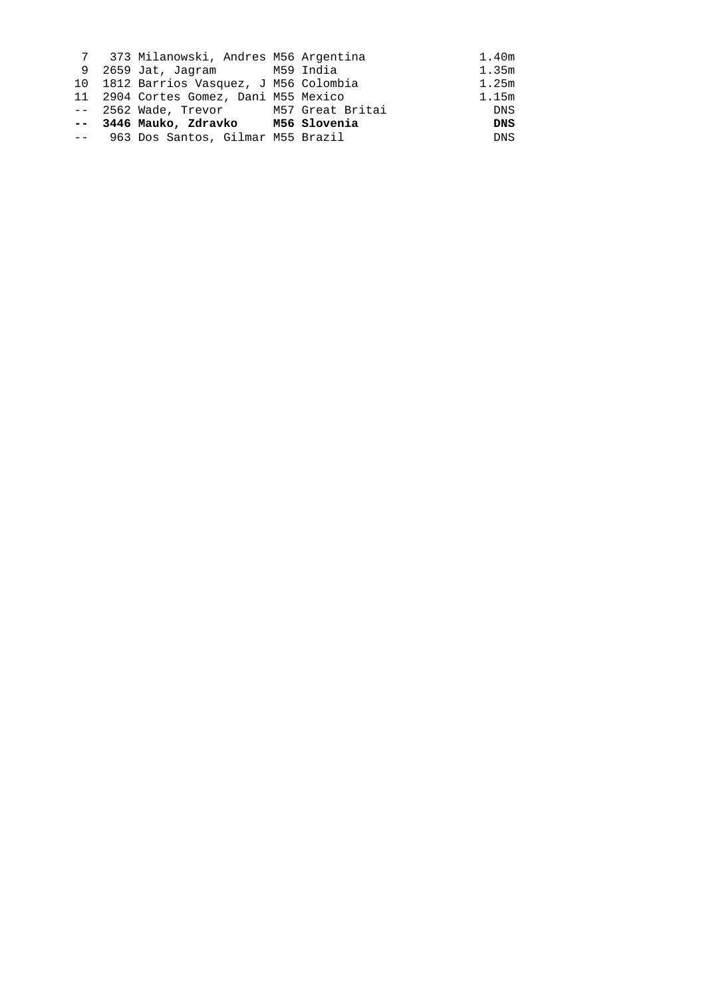|  | 7 373 Milanowski, Andres M56 Argentina  |  | 1.40m      |
|--|-----------------------------------------|--|------------|
|  | 9 2659 Jat, Jaqram M59 India            |  | 1.35m      |
|  | 10 1812 Barrios Vasquez, J M56 Colombia |  | 1.25m      |
|  | 11 2904 Cortes Gomez, Dani M55 Mexico   |  | 1.15m      |
|  | -- 2562 Wade, Trevor M57 Great Britai   |  | DNS        |
|  | -- 3446 Mauko, Zdravko M56 Slovenia     |  | <b>DNS</b> |
|  | -- 963 Dos Santos, Gilmar M55 Brazil    |  | <b>DNS</b> |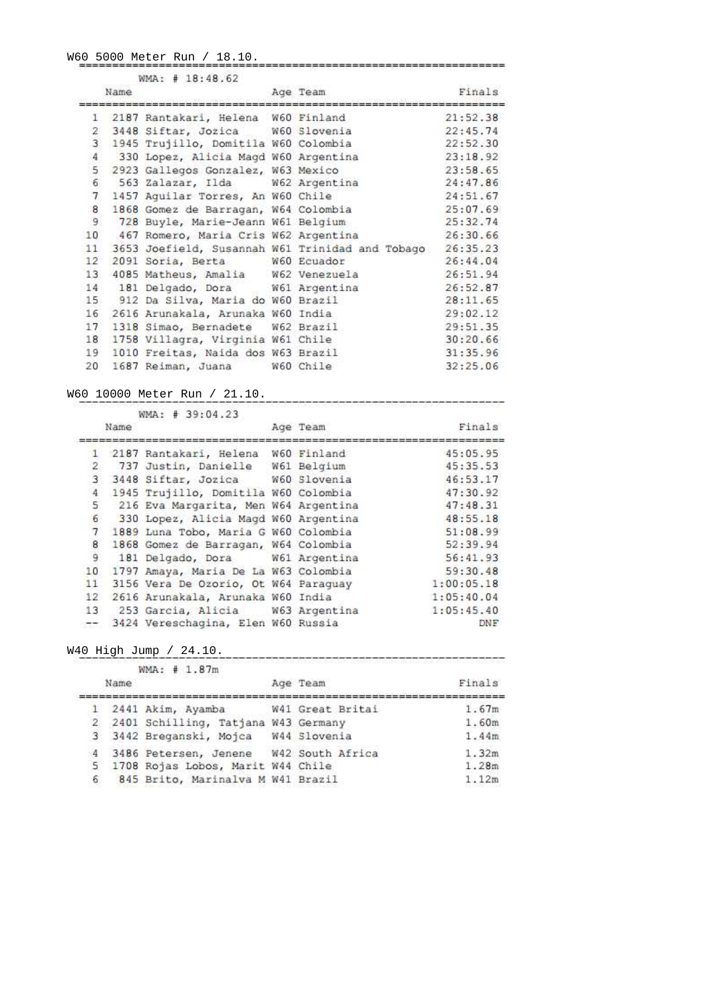W60 5000 Meter Run / 18.10.

|                 | Name | WMA: # 18:48.62                      | Age Team                                        | Finals   |
|-----------------|------|--------------------------------------|-------------------------------------------------|----------|
|                 |      |                                      |                                                 |          |
|                 |      | 1 2187 Rantakari, Helena W60 Finland |                                                 | 21:52.38 |
| $\overline{2}$  |      | 3448 Siftar, Jozica W60 Slovenia     |                                                 | 22:45.74 |
| 3               |      | 1945 Trujillo, Domitila W60 Colombia |                                                 | 22:52.30 |
| $\overline{4}$  |      | 330 Lopez, Alicia Magd W60 Argentina |                                                 | 23:18.92 |
| 5               |      | 2923 Gallegos Gonzalez, W63 Mexico   |                                                 | 23:58.65 |
| 6               |      | 563 Zalazar, Ilda W62 Argentina      |                                                 | 24:47.86 |
| $7\phantom{.0}$ |      | 1457 Aguilar Torres, An W60 Chile    |                                                 | 24:51.67 |
| 8               |      | 1868 Gomez de Barragan, W64 Colombia |                                                 | 25:07.69 |
| 9               |      | 728 Buyle, Marie-Jeann W61 Belgium   |                                                 | 25:32.74 |
| 10              |      | 467 Romero, Maria Cris W62 Argentina |                                                 | 26:30.66 |
| 11              |      |                                      | 3653 Joefield, Susannah W61 Trinidad and Tobago | 26:35.23 |
| 12 <sup>°</sup> |      | 2091 Soria, Berta W60 Ecuador        |                                                 | 26:44.04 |
| 13              |      | 4085 Matheus, Amalia W62 Venezuela   |                                                 | 26:51.94 |
|                 |      | 14 181 Delgado, Dora W61 Argentina   |                                                 | 26:52.87 |
| 15 <sub>1</sub> |      | 912 Da Silva, Maria do W60 Brazil    |                                                 | 28:11.65 |
| 16              |      | 2616 Arunakala, Arunaka W60 India    |                                                 | 29:02.12 |
| 17              |      | 1318 Simao, Bernadete W62 Brazil     |                                                 | 29:51.35 |
| 18              |      | 1758 Villagra, Virginia W61 Chile    |                                                 | 30:20.66 |
| 19              |      | 1010 Freitas, Naida dos W63 Brazil   |                                                 | 31:35.96 |
| 20              |      | 1687 Reiman, Juana W60 Chile         |                                                 | 32:25.06 |

W60 10000 Meter Run / 21.10.<br>WMA: # 39:04.23<br>Age Team Name Finals 1 2187 Rantakari, Helena W60 Finland<br>
2 737 Justin, Danielle W61 Belgium<br>
4 5:05.95<br>
2 737 Justin, Danielle W61 Belgium<br>
4 5:35.53<br>
3 3448 Siftar, Jozica W60 Slovenia<br>
4 7:48.31<br>
4 1945 Trujillo, Domitila W60 Colombia<br>
5 2 -- 3424 Vereschagina, Elen W60 Russia

\_\_\_\_\_\_\_\_\_\_\_\_\_\_\_\_\_\_\_\_\_\_\_\_\_\_\_\_\_\_

W40 High Jump / 24.10.

|   |      | WMA: # 1.87m                             | the street of the state of the state of the state of the state of the state of the state of the state of the s |        |
|---|------|------------------------------------------|----------------------------------------------------------------------------------------------------------------|--------|
|   | Name |                                          | Age Team                                                                                                       | Finals |
|   |      | 1 2441 Akim, Ayamba                      | W41 Great Britai                                                                                               | 1.67m  |
|   |      | 2 2401 Schilling, Tatjana W43 Germany    |                                                                                                                | 1.60m  |
|   |      | 3 3442 Breganski, Mojca                  | W44 Slovenia                                                                                                   | 1.44m  |
|   |      | 4 3486 Petersen, Jenene W42 South Africa |                                                                                                                | 1.32m  |
|   |      | 5 1708 Rojas Lobos, Marit W44 Chile      |                                                                                                                | 1.28m  |
| 6 |      | 845 Brito, Marinalva M W41 Brazil        |                                                                                                                | 1.12m  |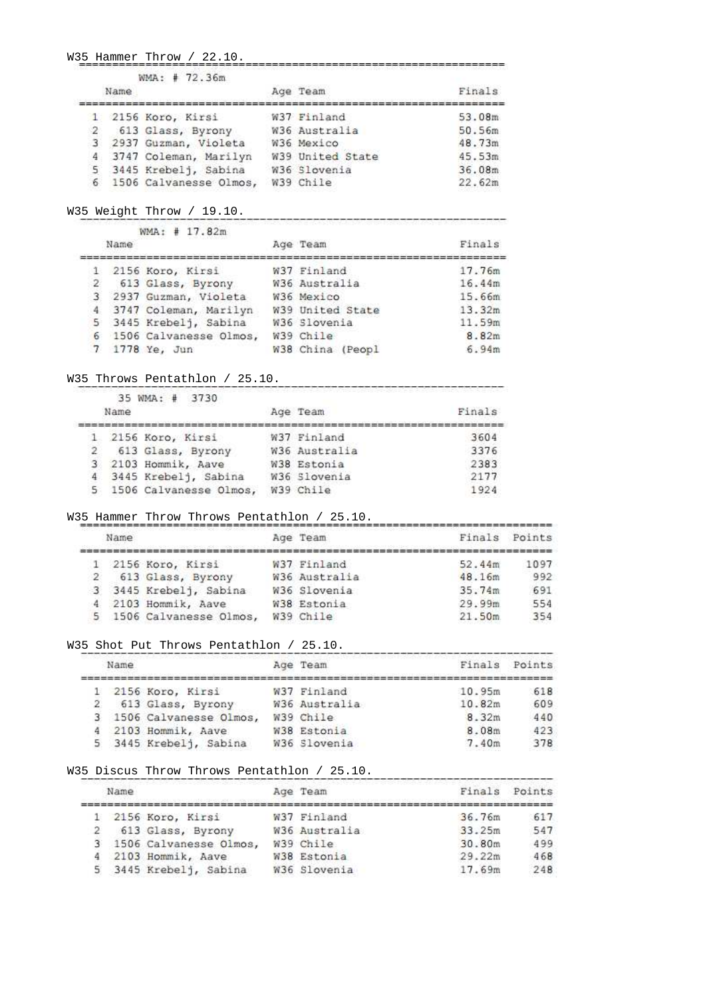W35 Hammer Throw / 22.10.

| Name | WMA: # 72.36m            | Age Team         | Finals |
|------|--------------------------|------------------|--------|
|      | 1 2156 Koro, Kirsi       | W37 Finland      | 53.08m |
|      | 2 613 Glass, Byrony      | W36 Australia    | 50.56m |
|      | 3 2937 Guzman, Violeta   | W36 Mexico       | 48.73m |
|      | 4 3747 Coleman, Marilyn  | W39 United State | 45.53m |
|      | 5 3445 Krebelj, Sabina   | W36 Slovenia     | 36.08m |
|      | 6 1506 Calvanesse Olmos, | W39 Chile        | 22.62m |
|      |                          |                  |        |

----------

-----------

W35 Weight Throw / 19.10.

|              | WMA: # 17.82m            |                  |        |
|--------------|--------------------------|------------------|--------|
|              | Name                     | Age Team         | Finals |
|              | 1 2156 Koro, Kirsi       | W37 Finland      | 17.76m |
| $\mathbf{2}$ | 613 Glass, Byrony        | W36 Australia    | 16.44m |
|              | 3 2937 Guzman, Violeta   | W36 Mexico       | 15.66m |
|              | 4 3747 Coleman, Marilyn  | W39 United State | 13.32m |
|              | 5 3445 Krebelj, Sabina   | W36 Slovenia     | 11.59m |
|              | 6 1506 Calvanesse Olmos, | W39 Chile        | 8.82m  |
|              | 7 1778 Ye, Jun           | W38 China (Peopl | 6.94m  |

W35 Throws Pentathlon / 25.10.

|      | 35 WMA: # 3730                                                                                                 | TERS 정도 1989년 1989년 1989년 1989년 1989년 1989년 1989년 10월 1일 전 10월 1일 1일 1일 1일 1일 1일 1일 1일 |        |
|------|----------------------------------------------------------------------------------------------------------------|----------------------------------------------------------------------------------------|--------|
| Name | ATAN TAGAMAN MANASARKAN MANASARKAN MELAYARKAN MELATURKAN MENGERAN MENGAN DEMANGAN MENGEMUKAN MANASARKAN MENGEM | Age Team                                                                               | Finals |
|      | 1 2156 Koro, Kirsi                                                                                             | W37 Finland                                                                            | 3604   |
|      | 613 Glass, Byrony                                                                                              | W36 Australia                                                                          | 3376   |
|      | 3 2103 Hommik, Aave                                                                                            | W38 Estonia                                                                            | 2383   |
|      | 4 3445 Krebelj, Sabina                                                                                         | W36 Slovenia                                                                           | 2177   |
|      | 5 1506 Calvanesse Olmos,                                                                                       | W39 Chile                                                                              | 1924   |

W35 Hammer Throw Throws Pentathlon / 25.10.

|              | 1000 Hotel And An International Activity (1984)<br>Name |                          | Age Team      | Finals | Points |
|--------------|---------------------------------------------------------|--------------------------|---------------|--------|--------|
| Ъ.           |                                                         | 2156 Koro, Kirsi         | W37 Finland   | 52.44m | 1097   |
| $\mathbf{2}$ |                                                         | 613 Glass, Byrony        | W36 Australia | 48.16m | 992    |
|              |                                                         | 3 3445 Krebelj, Sabina   | W36 Slovenia  | 35.74m | 691    |
|              |                                                         | 4 2103 Hommik, Aave      | W38 Estonia   | 29.99m | 554    |
|              |                                                         | 5 1506 Calvanesse Olmos, | W39 Chile     | 21.50m | 354    |

## W35 Shot Put Throws Pentathlon / 25.10.

| Name | 그녀는 눈을 들었다. 그는 아이가 없어서 그는 사람들이 나서 나가고 있었다. | Age Team      | Finals | Points |
|------|--------------------------------------------|---------------|--------|--------|
|      | 1 2156 Koro, Kirsi                         | W37 Finland   | 10.95m | 618    |
|      | 2 613 Glass, Byrony                        | W36 Australia | 10.82m | 609    |
|      | 3 1506 Calvanesse Olmos,                   | W39 Chile     | 8.32m  | 440    |
|      | 2103 Hommik, Aave                          | W38 Estonia   | 8.08m  | 423    |
|      | 5 3445 Krebelj, Sabina                     | W36 Slovenia  | 7.40m  | 378    |
|      |                                            |               |        |        |

## W35 Discus Throw Throws Pentathlon / 25.10.

|    | Name | 지역의 동생 동생들이 공원들이 나는 기업의 그는 이 동일 마치가 공부를 위해 오 기사를 시작했다. 이 일 | Age Team      |        | Finals Points |
|----|------|------------------------------------------------------------|---------------|--------|---------------|
|    |      | 1 2156 Koro, Kirsi                                         | W37 Finland   | 36.76m | 617           |
|    |      | 613 Glass, Byrony                                          | W36 Australia | 33.25m | 547           |
| 3. |      | 1506 Calvanesse Olmos,                                     | W39 Chile     | 30.80m | 499           |
|    |      | 2103 Hommik, Aave                                          | W38 Estonia   | 29.22m | 468           |
|    |      | 3445 Krebelj, Sabina                                       | W36 Slovenia  | 17.69m | 248           |